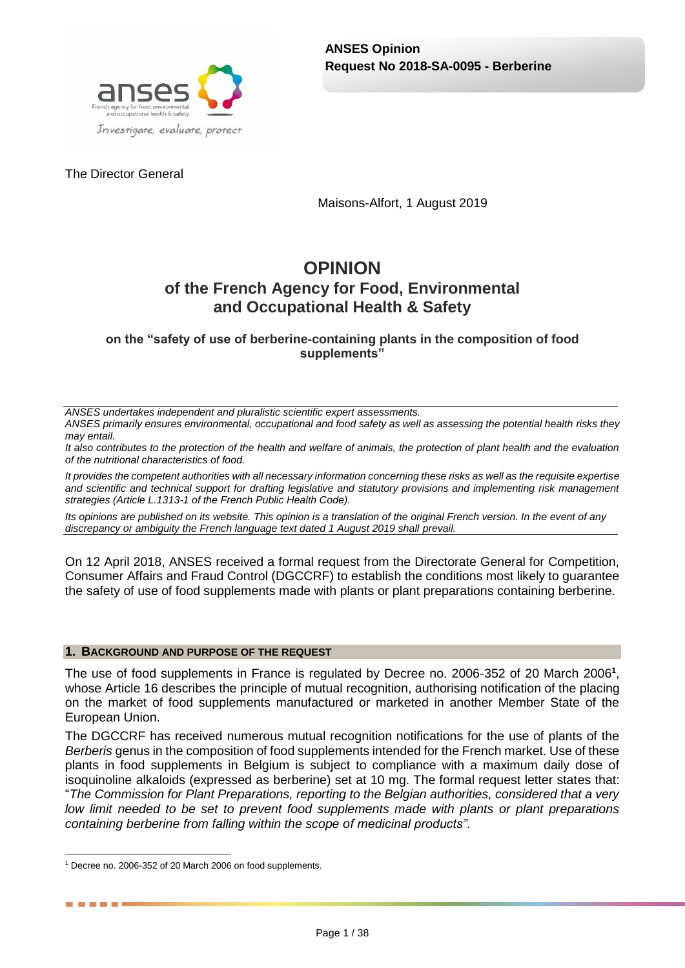The Director General

Maisons-Alfort, 1 August 2019

# **OPINION of the French Agency for Food, Environmental and Occupational Health & Safety**

**on the "safety of use of berberine-containing plants in the composition of food supplements"**

*ANSES undertakes independent and pluralistic scientific expert assessments.*

*ANSES primarily ensures environmental, occupational and food safety as well as assessing the potential health risks they may entail.*

*It also contributes to the protection of the health and welfare of animals, the protection of plant health and the evaluation of the nutritional characteristics of food.*

*It provides the competent authorities with all necessary information concerning these risks as well as the requisite expertise and scientific and technical support for drafting legislative and statutory provisions and implementing risk management strategies (Article L.1313-1 of the French Public Health Code).* 

*Its opinions are published on its website. This opinion is a translation of the original French version. In the event of any discrepancy or ambiguity the French language text dated 1 August 2019 shall prevail.*

On 12 April 2018, ANSES received a formal request from the Directorate General for Competition, Consumer Affairs and Fraud Control (DGCCRF) to establish the conditions most likely to guarantee the safety of use of food supplements made with plants or plant preparations containing berberine.

#### **1. BACKGROUND AND PURPOSE OF THE REQUEST**

The use of food supplements in France is regulated by Decree no. 2006-352 of 20 March 2006**<sup>1</sup>** , whose Article 16 describes the principle of mutual recognition, authorising notification of the placing on the market of food supplements manufactured or marketed in another Member State of the European Union.

The DGCCRF has received numerous mutual recognition notifications for the use of plants of the *Berberis* genus in the composition of food supplements intended for the French market. Use of these plants in food supplements in Belgium is subject to compliance with a maximum daily dose of isoquinoline alkaloids (expressed as berberine) set at 10 mg. The formal request letter states that: "*The Commission for Plant Preparations, reporting to the Belgian authorities, considered that a very low limit needed to be set to prevent food supplements made with plants or plant preparations containing berberine from falling within the scope of medicinal products"*.

. . . .

<sup>1</sup> <sup>1</sup> Decree no. 2006-352 of 20 March 2006 on food supplements.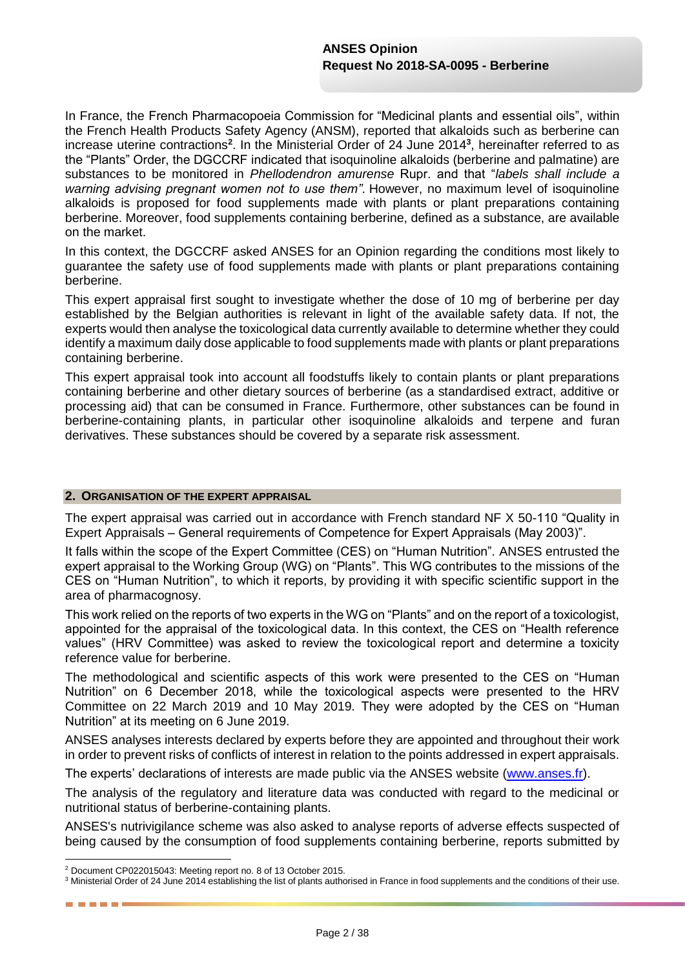In France, the French Pharmacopoeia Commission for "Medicinal plants and essential oils", within the French Health Products Safety Agency (ANSM), reported that alkaloids such as berberine can increase uterine contractions**<sup>2</sup>** . In the Ministerial Order of 24 June 2014**<sup>3</sup>** , hereinafter referred to as the "Plants" Order, the DGCCRF indicated that isoquinoline alkaloids (berberine and palmatine) are substances to be monitored in *Phellodendron amurense* Rupr. and that "*labels shall include a warning advising pregnant women not to use them"*. However, no maximum level of isoquinoline alkaloids is proposed for food supplements made with plants or plant preparations containing berberine. Moreover, food supplements containing berberine, defined as a substance, are available on the market.

In this context, the DGCCRF asked ANSES for an Opinion regarding the conditions most likely to guarantee the safety use of food supplements made with plants or plant preparations containing berberine.

This expert appraisal first sought to investigate whether the dose of 10 mg of berberine per day established by the Belgian authorities is relevant in light of the available safety data. If not, the experts would then analyse the toxicological data currently available to determine whether they could identify a maximum daily dose applicable to food supplements made with plants or plant preparations containing berberine.

This expert appraisal took into account all foodstuffs likely to contain plants or plant preparations containing berberine and other dietary sources of berberine (as a standardised extract, additive or processing aid) that can be consumed in France. Furthermore, other substances can be found in berberine-containing plants, in particular other isoquinoline alkaloids and terpene and furan derivatives. These substances should be covered by a separate risk assessment.

#### **2. ORGANISATION OF THE EXPERT APPRAISAL**

The expert appraisal was carried out in accordance with French standard NF X 50-110 "Quality in Expert Appraisals – General requirements of Competence for Expert Appraisals (May 2003)".

It falls within the scope of the Expert Committee (CES) on "Human Nutrition"*.* ANSES entrusted the expert appraisal to the Working Group (WG) on "Plants". This WG contributes to the missions of the CES on "Human Nutrition", to which it reports, by providing it with specific scientific support in the area of pharmacognosy.

This work relied on the reports of two experts in the WG on "Plants" and on the report of a toxicologist, appointed for the appraisal of the toxicological data. In this context, the CES on "Health reference values" (HRV Committee) was asked to review the toxicological report and determine a toxicity reference value for berberine.

The methodological and scientific aspects of this work were presented to the CES on "Human Nutrition" on 6 December 2018, while the toxicological aspects were presented to the HRV Committee on 22 March 2019 and 10 May 2019*.* They were adopted by the CES on "Human Nutrition" at its meeting on 6 June 2019.

ANSES analyses interests declared by experts before they are appointed and throughout their work in order to prevent risks of conflicts of interest in relation to the points addressed in expert appraisals.

The experts' declarations of interests are made public via the ANSES website [\(www.anses.fr\)](http://www.anses.fr/).

The analysis of the regulatory and literature data was conducted with regard to the medicinal or nutritional status of berberine-containing plants.

ANSES's nutrivigilance scheme was also asked to analyse reports of adverse effects suspected of being caused by the consumption of food supplements containing berberine, reports submitted by

1

. . . . .

<sup>2</sup> Document CP022015043: Meeting report no. 8 of 13 October 2015.

<sup>&</sup>lt;sup>3</sup> Ministerial Order of 24 June 2014 establishing the list of plants authorised in France in food supplements and the conditions of their use.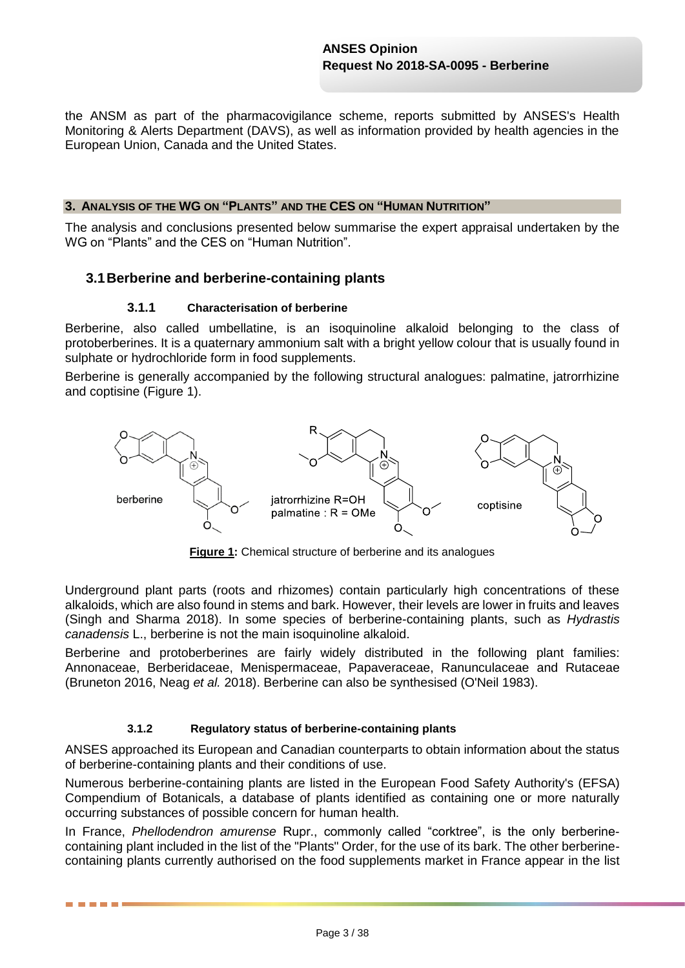the ANSM as part of the pharmacovigilance scheme, reports submitted by ANSES's Health Monitoring & Alerts Department (DAVS), as well as information provided by health agencies in the European Union, Canada and the United States.

#### **3. ANALYSIS OF THE WG ON "PLANTS" AND THE CES ON "HUMAN NUTRITION"**

The analysis and conclusions presented below summarise the expert appraisal undertaken by the WG on "Plants" and the CES on "Human Nutrition".

### **3.1Berberine and berberine-containing plants**

#### **3.1.1 Characterisation of berberine**

Berberine, also called umbellatine, is an isoquinoline alkaloid belonging to the class of protoberberines. It is a quaternary ammonium salt with a bright yellow colour that is usually found in sulphate or hydrochloride form in food supplements.

Berberine is generally accompanied by the following structural analogues: palmatine, jatrorrhizine and coptisine (Figure 1).



**Figure 1:** Chemical structure of berberine and its analogues

Underground plant parts (roots and rhizomes) contain particularly high concentrations of these alkaloids, which are also found in stems and bark. However, their levels are lower in fruits and leaves (Singh and Sharma 2018). In some species of berberine-containing plants, such as *Hydrastis canadensis* L., berberine is not the main isoquinoline alkaloid.

Berberine and protoberberines are fairly widely distributed in the following plant families: Annonaceae, Berberidaceae, Menispermaceae, Papaveraceae, Ranunculaceae and Rutaceae (Bruneton 2016, Neag *et al.* 2018). Berberine can also be synthesised (O'Neil 1983).

#### **3.1.2 Regulatory status of berberine-containing plants**

ANSES approached its European and Canadian counterparts to obtain information about the status of berberine-containing plants and their conditions of use.

Numerous berberine-containing plants are listed in the European Food Safety Authority's (EFSA) Compendium of Botanicals, a database of plants identified as containing one or more naturally occurring substances of possible concern for human health.

In France, *Phellodendron amurense* Rupr., commonly called "corktree", is the only berberinecontaining plant included in the list of the "Plants" Order, for the use of its bark. The other berberinecontaining plants currently authorised on the food supplements market in France appear in the list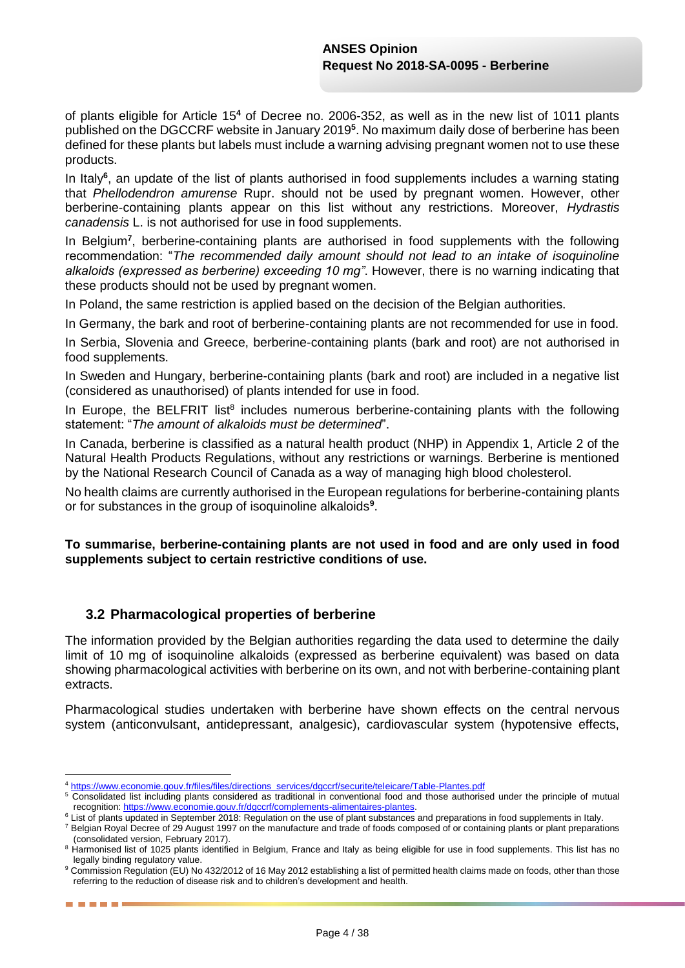of plants eligible for Article 15**<sup>4</sup>** of Decree no. 2006-352, as well as in the new list of 1011 plants published on the DGCCRF website in January 2019**<sup>5</sup>** . No maximum daily dose of berberine has been defined for these plants but labels must include a warning advising pregnant women not to use these products.

In Italy**<sup>6</sup>** , an update of the list of plants authorised in food supplements includes a warning stating that *Phellodendron amurense* Rupr. should not be used by pregnant women. However, other berberine-containing plants appear on this list without any restrictions. Moreover, *Hydrastis canadensis* L. is not authorised for use in food supplements.

In Belgium<sup>7</sup>, berberine-containing plants are authorised in food supplements with the following recommendation: "*The recommended daily amount should not lead to an intake of isoquinoline alkaloids (expressed as berberine) exceeding 10 mg"*. However, there is no warning indicating that these products should not be used by pregnant women.

In Poland, the same restriction is applied based on the decision of the Belgian authorities.

In Germany, the bark and root of berberine-containing plants are not recommended for use in food.

In Serbia, Slovenia and Greece, berberine-containing plants (bark and root) are not authorised in food supplements.

In Sweden and Hungary, berberine-containing plants (bark and root) are included in a negative list (considered as unauthorised) of plants intended for use in food.

In Europe, the BELFRIT list<sup>8</sup> includes numerous berberine-containing plants with the following statement: "*The amount of alkaloids must be determined*".

In Canada, berberine is classified as a natural health product (NHP) in Appendix 1, Article 2 of the Natural Health Products Regulations, without any restrictions or warnings. Berberine is mentioned by the National Research Council of Canada as a way of managing high blood cholesterol.

No health claims are currently authorised in the European regulations for berberine-containing plants or for substances in the group of isoquinoline alkaloids**<sup>9</sup>** .

#### **To summarise, berberine-containing plants are not used in food and are only used in food supplements subject to certain restrictive conditions of use.**

# **3.2 Pharmacological properties of berberine**

------

The information provided by the Belgian authorities regarding the data used to determine the daily limit of 10 mg of isoquinoline alkaloids (expressed as berberine equivalent) was based on data showing pharmacological activities with berberine on its own, and not with berberine-containing plant extracts.

Pharmacological studies undertaken with berberine have shown effects on the central nervous system (anticonvulsant, antidepressant, analgesic), cardiovascular system (hypotensive effects,

<sup>1</sup> <sup>4</sup> [https://www.economie.gouv.fr/files/files/directions\\_services/dgccrf/securite/teleicare/Table-Plantes.pdf](https://www.economie.gouv.fr/files/files/directions_services/dgccrf/securite/teleicare/Table-Plantes.pdf)

<sup>&</sup>lt;sup>5</sup> Consolidated list including plants considered as traditional in conventional food and those authorised under the principle of mutual recognition[: https://www.economie.gouv.fr/dgccrf/complements-alimentaires-plantes.](https://www.economie.gouv.fr/dgccrf/complements-alimentaires-plantes)

<sup>6</sup> List of plants updated in September 2018: Regulation on the use of plant substances and preparations in food supplements in Italy.

<sup>7</sup> Belgian Royal Decree of 29 August 1997 on the manufacture and trade of foods composed of or containing plants or plant preparations (consolidated version, February 2017).

<sup>8</sup> Harmonised list of 1025 plants identified in Belgium, France and Italy as being eligible for use in food supplements. This list has no legally binding regulatory value.

<sup>9</sup> Commission Regulation (EU) No 432/2012 of 16 May 2012 establishing a list of permitted health claims made on foods, other than those referring to the reduction of disease risk and to children's development and health.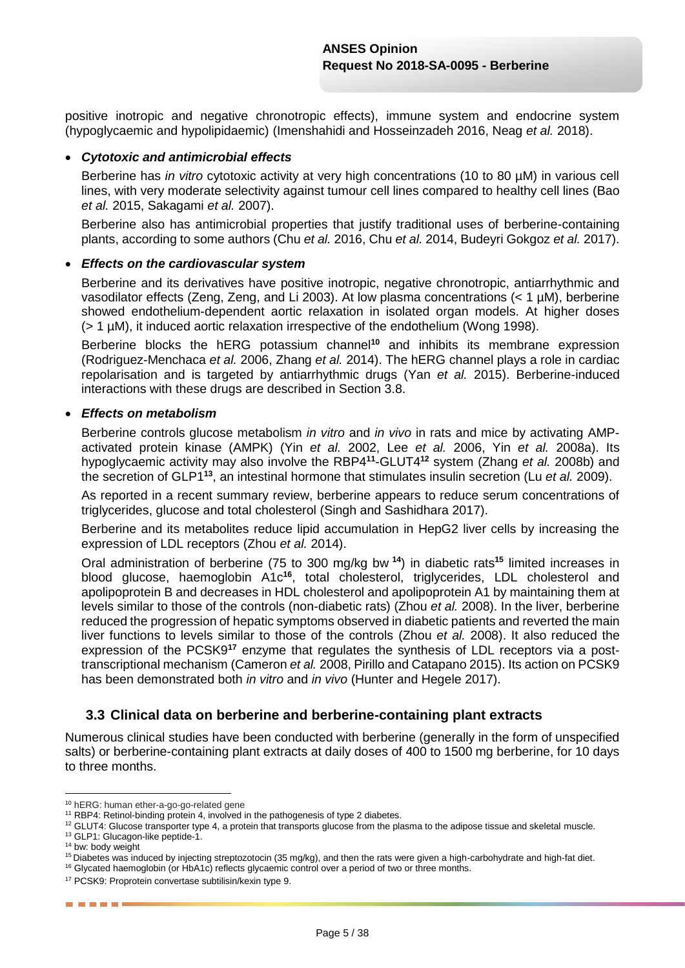positive inotropic and negative chronotropic effects), immune system and endocrine system (hypoglycaemic and hypolipidaemic) (Imenshahidi and Hosseinzadeh 2016, Neag *et al.* 2018).

#### *Cytotoxic and antimicrobial effects*

Berberine has *in vitro* cytotoxic activity at very high concentrations (10 to 80 µM) in various cell lines, with very moderate selectivity against tumour cell lines compared to healthy cell lines (Bao *et al.* 2015, Sakagami *et al.* 2007).

Berberine also has antimicrobial properties that justify traditional uses of berberine-containing plants, according to some authors (Chu *et al.* 2016, Chu *et al.* 2014, Budeyri Gokgoz *et al.* 2017).

#### *Effects on the cardiovascular system*

Berberine and its derivatives have positive inotropic, negative chronotropic, antiarrhythmic and vasodilator effects (Zeng, Zeng, and Li 2003). At low plasma concentrations (< 1 µM), berberine showed endothelium-dependent aortic relaxation in isolated organ models. At higher doses (> 1 µM), it induced aortic relaxation irrespective of the endothelium (Wong 1998).

Berberine blocks the hERG potassium channel**<sup>10</sup>** and inhibits its membrane expression (Rodriguez-Menchaca *et al.* 2006, Zhang *et al.* 2014). The hERG channel plays a role in cardiac repolarisation and is targeted by antiarrhythmic drugs (Yan *et al.* 2015). Berberine-induced interactions with these drugs are described in Section 3.8.

#### *Effects on metabolism*

Berberine controls glucose metabolism *in vitro* and *in vivo* in rats and mice by activating AMPactivated protein kinase (AMPK) (Yin *et al.* 2002, Lee *et al.* 2006, Yin *et al.* 2008a). Its hypoglycaemic activity may also involve the RBP4**<sup>11</sup>** -GLUT4**<sup>12</sup>** system (Zhang *et al.* 2008b) and the secretion of GLP1**<sup>13</sup>**, an intestinal hormone that stimulates insulin secretion (Lu *et al.* 2009).

As reported in a recent summary review, berberine appears to reduce serum concentrations of triglycerides, glucose and total cholesterol (Singh and Sashidhara 2017).

Berberine and its metabolites reduce lipid accumulation in HepG2 liver cells by increasing the expression of LDL receptors (Zhou *et al.* 2014).

Oral administration of berberine (75 to 300 mg/kg bw **<sup>14</sup>**) in diabetic rats**<sup>15</sup>** limited increases in blood glucose, haemoglobin A1c**<sup>16</sup>**, total cholesterol, triglycerides, LDL cholesterol and apolipoprotein B and decreases in HDL cholesterol and apolipoprotein A1 by maintaining them at levels similar to those of the controls (non-diabetic rats) (Zhou *et al.* 2008). In the liver, berberine reduced the progression of hepatic symptoms observed in diabetic patients and reverted the main liver functions to levels similar to those of the controls (Zhou *et al.* 2008). It also reduced the expression of the PCSK9**<sup>17</sup>** enzyme that regulates the synthesis of LDL receptors via a posttranscriptional mechanism (Cameron *et al.* 2008, Pirillo and Catapano 2015). Its action on PCSK9 has been demonstrated both *in vitro* and *in vivo* (Hunter and Hegele 2017).

# **3.3 Clinical data on berberine and berberine-containing plant extracts**

Numerous clinical studies have been conducted with berberine (generally in the form of unspecified salts) or berberine-containing plant extracts at daily doses of 400 to 1500 mg berberine, for 10 days to three months.

------

1

<sup>10</sup> hERG: human ether-a-go-go-related gene

<sup>&</sup>lt;sup>11</sup> RBP4: Retinol-binding protein 4, involved in the pathogenesis of type 2 diabetes.

 $12$  GLUT4: Glucose transporter type 4, a protein that transports glucose from the plasma to the adipose tissue and skeletal muscle.

<sup>&</sup>lt;sup>13</sup> GLP1: Glucagon-like peptide-1.

<sup>&</sup>lt;sup>14</sup> bw: body weight

 $15$  Diabetes was induced by injecting streptozotocin (35 mg/kg), and then the rats were given a high-carbohydrate and high-fat diet.

<sup>&</sup>lt;sup>16</sup> Glycated haemoglobin (or HbA1c) reflects glycaemic control over a period of two or three months.

<sup>17</sup> PCSK9: Proprotein convertase subtilisin/kexin type 9.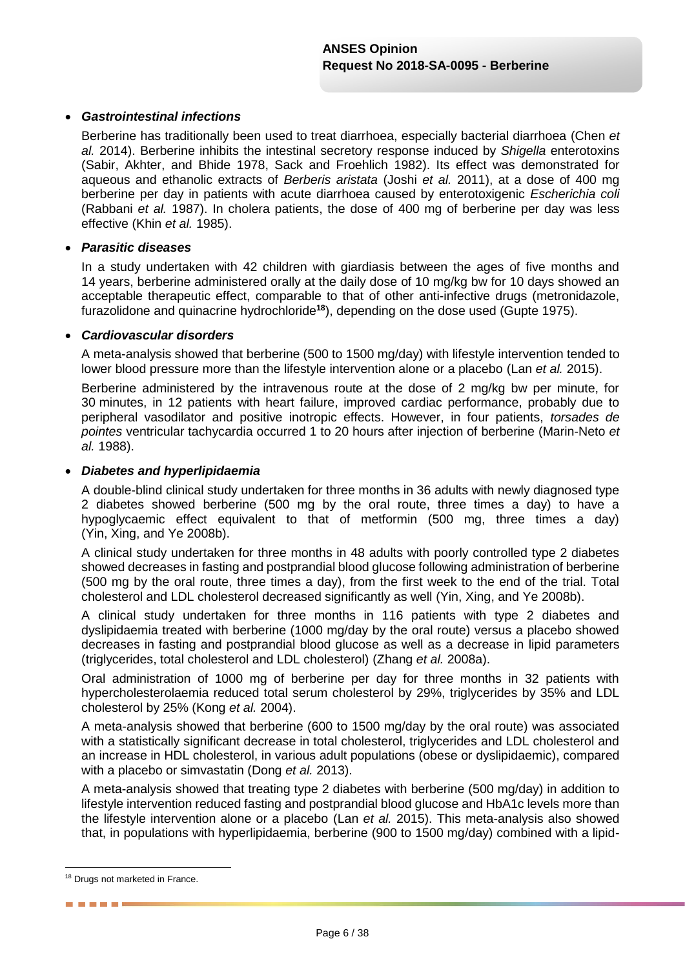#### *Gastrointestinal infections*

Berberine has traditionally been used to treat diarrhoea, especially bacterial diarrhoea (Chen *et al.* 2014). Berberine inhibits the intestinal secretory response induced by *Shigella* enterotoxins (Sabir, Akhter, and Bhide 1978, Sack and Froehlich 1982). Its effect was demonstrated for aqueous and ethanolic extracts of *Berberis aristata* (Joshi *et al.* 2011), at a dose of 400 mg berberine per day in patients with acute diarrhoea caused by enterotoxigenic *Escherichia coli* (Rabbani *et al.* 1987). In cholera patients, the dose of 400 mg of berberine per day was less effective (Khin *et al.* 1985).

#### *Parasitic diseases*

In a study undertaken with 42 children with giardiasis between the ages of five months and 14 years, berberine administered orally at the daily dose of 10 mg/kg bw for 10 days showed an acceptable therapeutic effect, comparable to that of other anti-infective drugs (metronidazole, furazolidone and quinacrine hydrochloride**<sup>18</sup>**), depending on the dose used (Gupte 1975).

#### *Cardiovascular disorders*

A meta-analysis showed that berberine (500 to 1500 mg/day) with lifestyle intervention tended to lower blood pressure more than the lifestyle intervention alone or a placebo (Lan *et al.* 2015).

Berberine administered by the intravenous route at the dose of 2 mg/kg bw per minute, for 30 minutes, in 12 patients with heart failure, improved cardiac performance, probably due to peripheral vasodilator and positive inotropic effects. However, in four patients, *torsades de pointes* ventricular tachycardia occurred 1 to 20 hours after injection of berberine (Marin-Neto *et al.* 1988).

#### *Diabetes and hyperlipidaemia*

A double-blind clinical study undertaken for three months in 36 adults with newly diagnosed type 2 diabetes showed berberine (500 mg by the oral route, three times a day) to have a hypoglycaemic effect equivalent to that of metformin (500 mg, three times a day) (Yin, Xing, and Ye 2008b).

A clinical study undertaken for three months in 48 adults with poorly controlled type 2 diabetes showed decreases in fasting and postprandial blood glucose following administration of berberine (500 mg by the oral route, three times a day), from the first week to the end of the trial. Total cholesterol and LDL cholesterol decreased significantly as well (Yin, Xing, and Ye 2008b).

A clinical study undertaken for three months in 116 patients with type 2 diabetes and dyslipidaemia treated with berberine (1000 mg/day by the oral route) versus a placebo showed decreases in fasting and postprandial blood glucose as well as a decrease in lipid parameters (triglycerides, total cholesterol and LDL cholesterol) (Zhang *et al.* 2008a).

Oral administration of 1000 mg of berberine per day for three months in 32 patients with hypercholesterolaemia reduced total serum cholesterol by 29%, triglycerides by 35% and LDL cholesterol by 25% (Kong *et al.* 2004).

A meta-analysis showed that berberine (600 to 1500 mg/day by the oral route) was associated with a statistically significant decrease in total cholesterol, triglycerides and LDL cholesterol and an increase in HDL cholesterol, in various adult populations (obese or dyslipidaemic), compared with a placebo or simvastatin (Dong *et al.* 2013).

A meta-analysis showed that treating type 2 diabetes with berberine (500 mg/day) in addition to lifestyle intervention reduced fasting and postprandial blood glucose and HbA1c levels more than the lifestyle intervention alone or a placebo (Lan *et al.* 2015). This meta-analysis also showed that, in populations with hyperlipidaemia, berberine (900 to 1500 mg/day) combined with a lipid-

1

------

<sup>&</sup>lt;sup>18</sup> Drugs not marketed in France.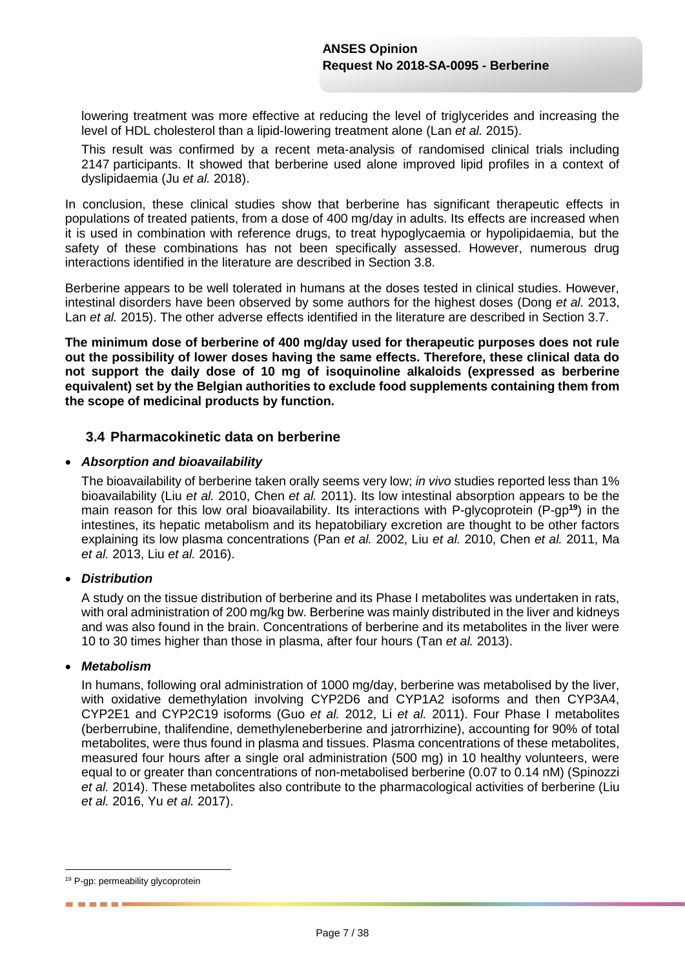lowering treatment was more effective at reducing the level of triglycerides and increasing the level of HDL cholesterol than a lipid-lowering treatment alone (Lan *et al.* 2015).

This result was confirmed by a recent meta-analysis of randomised clinical trials including 2147 participants. It showed that berberine used alone improved lipid profiles in a context of dyslipidaemia (Ju *et al.* 2018).

In conclusion, these clinical studies show that berberine has significant therapeutic effects in populations of treated patients, from a dose of 400 mg/day in adults. Its effects are increased when it is used in combination with reference drugs, to treat hypoglycaemia or hypolipidaemia, but the safety of these combinations has not been specifically assessed. However, numerous drug interactions identified in the literature are described in Section 3.8.

Berberine appears to be well tolerated in humans at the doses tested in clinical studies. However, intestinal disorders have been observed by some authors for the highest doses (Dong *et al.* 2013, Lan *et al.* 2015). The other adverse effects identified in the literature are described in Section 3.7.

**The minimum dose of berberine of 400 mg/day used for therapeutic purposes does not rule out the possibility of lower doses having the same effects. Therefore, these clinical data do not support the daily dose of 10 mg of isoquinoline alkaloids (expressed as berberine equivalent) set by the Belgian authorities to exclude food supplements containing them from the scope of medicinal products by function.**

# **3.4 Pharmacokinetic data on berberine**

#### *Absorption and bioavailability*

The bioavailability of berberine taken orally seems very low; *in vivo* studies reported less than 1% bioavailability (Liu *et al.* 2010, Chen *et al.* 2011). Its low intestinal absorption appears to be the main reason for this low oral bioavailability. Its interactions with P-glycoprotein (P-gp**<sup>19</sup>**) in the intestines, its hepatic metabolism and its hepatobiliary excretion are thought to be other factors explaining its low plasma concentrations (Pan *et al.* 2002, Liu *et al.* 2010, Chen *et al.* 2011, Ma *et al.* 2013, Liu *et al.* 2016).

### *Distribution*

A study on the tissue distribution of berberine and its Phase I metabolites was undertaken in rats, with oral administration of 200 mg/kg bw. Berberine was mainly distributed in the liver and kidneys and was also found in the brain. Concentrations of berberine and its metabolites in the liver were 10 to 30 times higher than those in plasma, after four hours (Tan *et al.* 2013).

#### *Metabolism*

In humans, following oral administration of 1000 mg/day, berberine was metabolised by the liver, with oxidative demethylation involving CYP2D6 and CYP1A2 isoforms and then CYP3A4, CYP2E1 and CYP2C19 isoforms (Guo *et al.* 2012, Li *et al.* 2011). Four Phase I metabolites (berberrubine, thalifendine, demethyleneberberine and jatrorrhizine), accounting for 90% of total metabolites, were thus found in plasma and tissues. Plasma concentrations of these metabolites, measured four hours after a single oral administration (500 mg) in 10 healthy volunteers, were equal to or greater than concentrations of non-metabolised berberine (0.07 to 0.14 nM) (Spinozzi *et al.* 2014). These metabolites also contribute to the pharmacological activities of berberine (Liu *et al.* 2016, Yu *et al.* 2017).

1

------

<sup>&</sup>lt;sup>19</sup> P-gp: permeability glycoprotein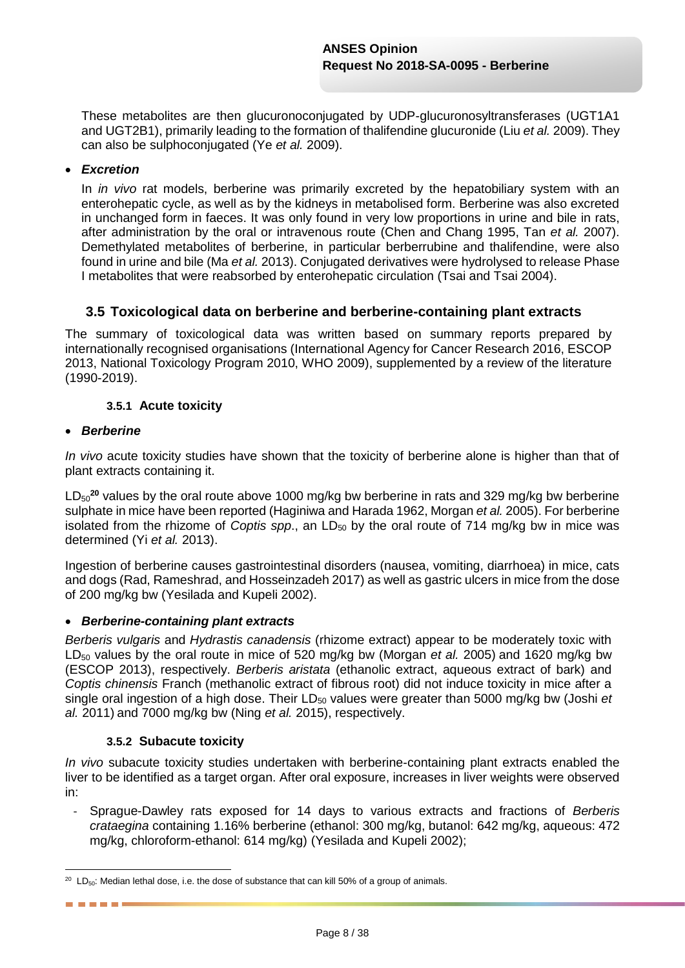These metabolites are then glucuronoconjugated by UDP-glucuronosyltransferases (UGT1A1 and UGT2B1), primarily leading to the formation of thalifendine glucuronide (Liu *et al.* 2009). They can also be sulphoconjugated (Ye *et al.* 2009).

### *Excretion*

In *in vivo* rat models, berberine was primarily excreted by the hepatobiliary system with an enterohepatic cycle, as well as by the kidneys in metabolised form. Berberine was also excreted in unchanged form in faeces. It was only found in very low proportions in urine and bile in rats, after administration by the oral or intravenous route (Chen and Chang 1995, Tan *et al.* 2007). Demethylated metabolites of berberine, in particular berberrubine and thalifendine, were also found in urine and bile (Ma *et al.* 2013). Conjugated derivatives were hydrolysed to release Phase I metabolites that were reabsorbed by enterohepatic circulation (Tsai and Tsai 2004).

# **3.5 Toxicological data on berberine and berberine-containing plant extracts**

The summary of toxicological data was written based on summary reports prepared by internationally recognised organisations (International Agency for Cancer Research 2016, ESCOP 2013, National Toxicology Program 2010, WHO 2009), supplemented by a review of the literature (1990-2019).

#### **3.5.1 Acute toxicity**

#### *Berberine*

------

*In vivo* acute toxicity studies have shown that the toxicity of berberine alone is higher than that of plant extracts containing it.

LD<sub>50</sub><sup>20</sup> values by the oral route above 1000 mg/kg bw berberine in rats and 329 mg/kg bw berberine sulphate in mice have been reported (Haginiwa and Harada 1962, Morgan *et al.* 2005). For berberine isolated from the rhizome of *Coptis spp.*, an  $LD_{50}$  by the oral route of 714 mg/kg bw in mice was determined (Yi *et al.* 2013).

Ingestion of berberine causes gastrointestinal disorders (nausea, vomiting, diarrhoea) in mice, cats and dogs (Rad, Rameshrad, and Hosseinzadeh 2017) as well as gastric ulcers in mice from the dose of 200 mg/kg bw (Yesilada and Kupeli 2002).

#### *Berberine-containing plant extracts*

*Berberis vulgaris* and *Hydrastis canadensis* (rhizome extract) appear to be moderately toxic with LD<sub>50</sub> values by the oral route in mice of 520 mg/kg bw (Morgan *et al.* 2005) and 1620 mg/kg bw (ESCOP 2013), respectively. *Berberis aristata* (ethanolic extract, aqueous extract of bark) and *Coptis chinensis* Franch (methanolic extract of fibrous root) did not induce toxicity in mice after a single oral ingestion of a high dose. Their LD<sub>50</sub> values were greater than 5000 mg/kg bw (Joshi *et al.* 2011) and 7000 mg/kg bw (Ning *et al.* 2015), respectively.

#### **3.5.2 Subacute toxicity**

*In vivo* subacute toxicity studies undertaken with berberine-containing plant extracts enabled the liver to be identified as a target organ. After oral exposure, increases in liver weights were observed in:

- Sprague-Dawley rats exposed for 14 days to various extracts and fractions of *Berberis crataegina* containing 1.16% berberine (ethanol: 300 mg/kg, butanol: 642 mg/kg, aqueous: 472 mg/kg, chloroform-ethanol: 614 mg/kg) (Yesilada and Kupeli 2002);

<sup>1</sup>  $20$  LD<sub>50</sub>: Median lethal dose, i.e. the dose of substance that can kill 50% of a group of animals.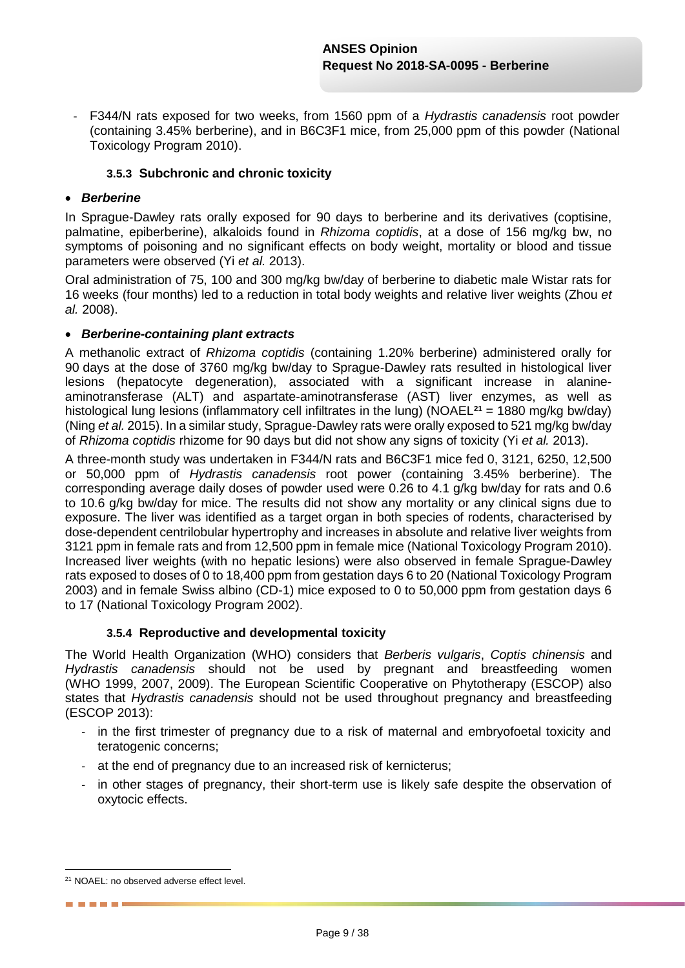- F344/N rats exposed for two weeks, from 1560 ppm of a *Hydrastis canadensis* root powder (containing 3.45% berberine), and in B6C3F1 mice, from 25,000 ppm of this powder (National Toxicology Program 2010).

### **3.5.3 Subchronic and chronic toxicity**

### *Berberine*

In Sprague-Dawley rats orally exposed for 90 days to berberine and its derivatives (coptisine, palmatine, epiberberine), alkaloids found in *Rhizoma coptidis*, at a dose of 156 mg/kg bw, no symptoms of poisoning and no significant effects on body weight, mortality or blood and tissue parameters were observed (Yi *et al.* 2013).

Oral administration of 75, 100 and 300 mg/kg bw/day of berberine to diabetic male Wistar rats for 16 weeks (four months) led to a reduction in total body weights and relative liver weights (Zhou *et al.* 2008).

#### *Berberine-containing plant extracts*

A methanolic extract of *Rhizoma coptidis* (containing 1.20% berberine) administered orally for 90 days at the dose of 3760 mg/kg bw/day to Sprague-Dawley rats resulted in histological liver lesions (hepatocyte degeneration), associated with a significant increase in alanineaminotransferase (ALT) and aspartate-aminotransferase (AST) liver enzymes, as well as histological lung lesions (inflammatory cell infiltrates in the lung) (NOAEL**<sup>21</sup>** = 1880 mg/kg bw/day) (Ning *et al.* 2015). In a similar study, Sprague-Dawley rats were orally exposed to 521 mg/kg bw/day of *Rhizoma coptidis* rhizome for 90 days but did not show any signs of toxicity (Yi *et al.* 2013).

A three-month study was undertaken in F344/N rats and B6C3F1 mice fed 0, 3121, 6250, 12,500 or 50,000 ppm of *Hydrastis canadensis* root power (containing 3.45% berberine). The corresponding average daily doses of powder used were 0.26 to 4.1 g/kg bw/day for rats and 0.6 to 10.6 g/kg bw/day for mice. The results did not show any mortality or any clinical signs due to exposure. The liver was identified as a target organ in both species of rodents, characterised by dose-dependent centrilobular hypertrophy and increases in absolute and relative liver weights from 3121 ppm in female rats and from 12,500 ppm in female mice (National Toxicology Program 2010). Increased liver weights (with no hepatic lesions) were also observed in female Sprague-Dawley rats exposed to doses of 0 to 18,400 ppm from gestation days 6 to 20 (National Toxicology Program 2003) and in female Swiss albino (CD-1) mice exposed to 0 to 50,000 ppm from gestation days 6 to 17 (National Toxicology Program 2002).

#### **3.5.4 Reproductive and developmental toxicity**

The World Health Organization (WHO) considers that *Berberis vulgaris*, *Coptis chinensis* and *Hydrastis canadensis* should not be used by pregnant and breastfeeding women (WHO 1999, 2007, 2009). The European Scientific Cooperative on Phytotherapy (ESCOP) also states that *Hydrastis canadensis* should not be used throughout pregnancy and breastfeeding (ESCOP 2013):

- *-* in the first trimester of pregnancy due to a risk of maternal and embryofoetal toxicity and teratogenic concerns;
- *-* at the end of pregnancy due to an increased risk of kernicterus;
- *-* in other stages of pregnancy, their short-term use is likely safe despite the observation of oxytocic effects.

1

------

<sup>&</sup>lt;sup>21</sup> NOAEL: no observed adverse effect level.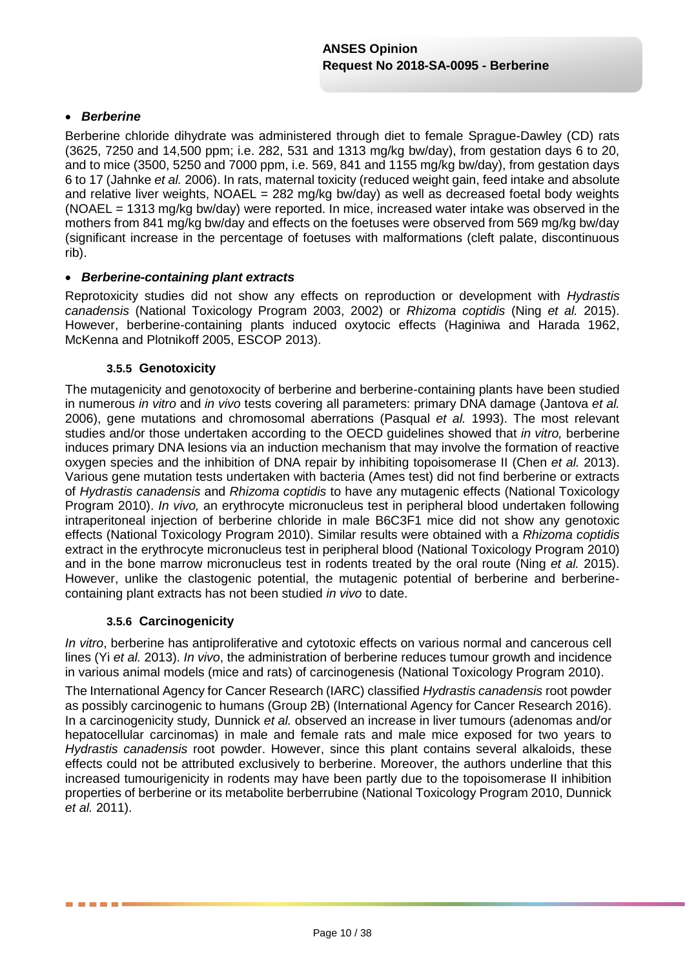### *Berberine*

Berberine chloride dihydrate was administered through diet to female Sprague-Dawley (CD) rats (3625, 7250 and 14,500 ppm; i.e. 282, 531 and 1313 mg/kg bw/day), from gestation days 6 to 20, and to mice (3500, 5250 and 7000 ppm, i.e. 569, 841 and 1155 mg/kg bw/day), from gestation days 6 to 17 (Jahnke *et al.* 2006). In rats, maternal toxicity (reduced weight gain, feed intake and absolute and relative liver weights, NOAEL = 282 mg/kg bw/day) as well as decreased foetal body weights (NOAEL = 1313 mg/kg bw/day) were reported. In mice, increased water intake was observed in the mothers from 841 mg/kg bw/day and effects on the foetuses were observed from 569 mg/kg bw/day (significant increase in the percentage of foetuses with malformations (cleft palate, discontinuous rib).

#### *Berberine-containing plant extracts*

Reprotoxicity studies did not show any effects on reproduction or development with *Hydrastis canadensis* (National Toxicology Program 2003, 2002) or *Rhizoma coptidis* (Ning *et al.* 2015). However, berberine-containing plants induced oxytocic effects (Haginiwa and Harada 1962, McKenna and Plotnikoff 2005, ESCOP 2013).

#### **3.5.5 Genotoxicity**

The mutagenicity and genotoxocity of berberine and berberine-containing plants have been studied in numerous *in vitro* and *in vivo* tests covering all parameters: primary DNA damage (Jantova *et al.* 2006), gene mutations and chromosomal aberrations (Pasqual *et al.* 1993). The most relevant studies and/or those undertaken according to the OECD guidelines showed that *in vitro,* berberine induces primary DNA lesions via an induction mechanism that may involve the formation of reactive oxygen species and the inhibition of DNA repair by inhibiting topoisomerase II (Chen *et al.* 2013). Various gene mutation tests undertaken with bacteria (Ames test) did not find berberine or extracts of *Hydrastis canadensis* and *Rhizoma coptidis* to have any mutagenic effects (National Toxicology Program 2010). *In vivo,* an erythrocyte micronucleus test in peripheral blood undertaken following intraperitoneal injection of berberine chloride in male B6C3F1 mice did not show any genotoxic effects (National Toxicology Program 2010). Similar results were obtained with a *Rhizoma coptidis* extract in the erythrocyte micronucleus test in peripheral blood (National Toxicology Program 2010) and in the bone marrow micronucleus test in rodents treated by the oral route (Ning *et al.* 2015). However, unlike the clastogenic potential, the mutagenic potential of berberine and berberinecontaining plant extracts has not been studied *in vivo* to date.

#### **3.5.6 Carcinogenicity**

*In vitro*, berberine has antiproliferative and cytotoxic effects on various normal and cancerous cell lines (Yi *et al.* 2013). *In vivo*, the administration of berberine reduces tumour growth and incidence in various animal models (mice and rats) of carcinogenesis (National Toxicology Program 2010).

The International Agency for Cancer Research (IARC) classified *Hydrastis canadensis* root powder as possibly carcinogenic to humans (Group 2B) (International Agency for Cancer Research 2016). In a carcinogenicity study*,* Dunnick *et al.* observed an increase in liver tumours (adenomas and/or hepatocellular carcinomas) in male and female rats and male mice exposed for two years to *Hydrastis canadensis* root powder. However, since this plant contains several alkaloids, these effects could not be attributed exclusively to berberine. Moreover, the authors underline that this increased tumourigenicity in rodents may have been partly due to the topoisomerase II inhibition properties of berberine or its metabolite berberrubine (National Toxicology Program 2010, Dunnick *et al.* 2011).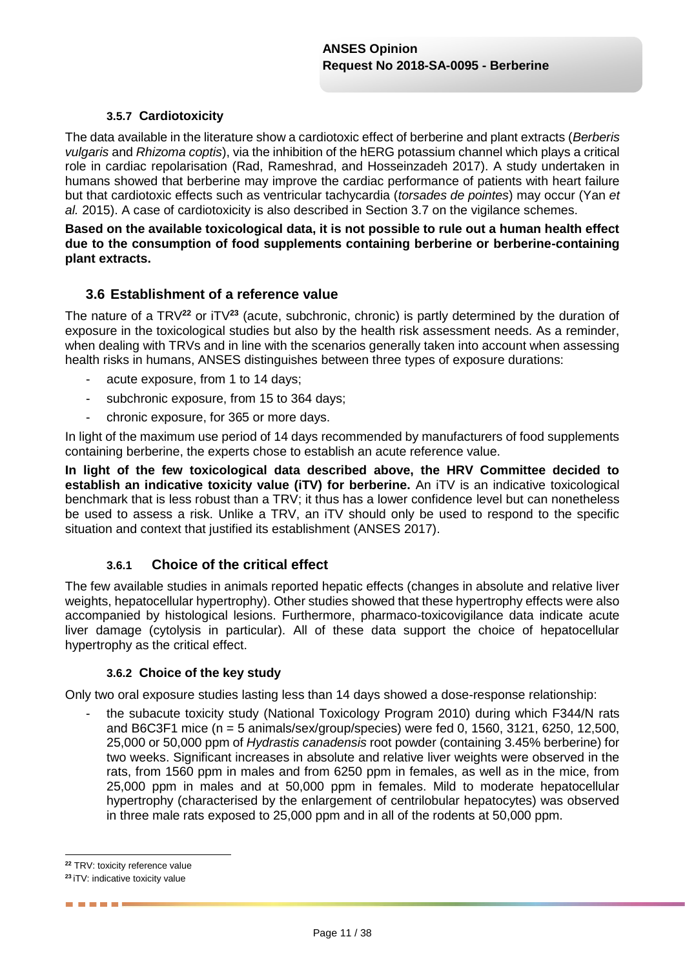### **3.5.7 Cardiotoxicity**

The data available in the literature show a cardiotoxic effect of berberine and plant extracts (*Berberis vulgaris* and *Rhizoma coptis*), via the inhibition of the hERG potassium channel which plays a critical role in cardiac repolarisation (Rad, Rameshrad, and Hosseinzadeh 2017). A study undertaken in humans showed that berberine may improve the cardiac performance of patients with heart failure but that cardiotoxic effects such as ventricular tachycardia (*torsades de pointes*) may occur (Yan *et al.* 2015). A case of cardiotoxicity is also described in Section 3.7 on the vigilance schemes.

**Based on the available toxicological data, it is not possible to rule out a human health effect due to the consumption of food supplements containing berberine or berberine-containing plant extracts.**

# **3.6 Establishment of a reference value**

The nature of a TRV**<sup>22</sup>** or iTV**<sup>23</sup>** (acute, subchronic, chronic) is partly determined by the duration of exposure in the toxicological studies but also by the health risk assessment needs. As a reminder, when dealing with TRVs and in line with the scenarios generally taken into account when assessing health risks in humans, ANSES distinguishes between three types of exposure durations:

- acute exposure, from 1 to 14 days;
- subchronic exposure, from 15 to 364 days;
- chronic exposure, for 365 or more days.

In light of the maximum use period of 14 days recommended by manufacturers of food supplements containing berberine, the experts chose to establish an acute reference value.

**In light of the few toxicological data described above, the HRV Committee decided to establish an indicative toxicity value (iTV) for berberine.** An iTV is an indicative toxicological benchmark that is less robust than a TRV; it thus has a lower confidence level but can nonetheless be used to assess a risk. Unlike a TRV, an iTV should only be used to respond to the specific situation and context that justified its establishment (ANSES 2017).

### **3.6.1 Choice of the critical effect**

The few available studies in animals reported hepatic effects (changes in absolute and relative liver weights, hepatocellular hypertrophy). Other studies showed that these hypertrophy effects were also accompanied by histological lesions. Furthermore, pharmaco-toxicovigilance data indicate acute liver damage (cytolysis in particular). All of these data support the choice of hepatocellular hypertrophy as the critical effect.

#### **3.6.2 Choice of the key study**

Only two oral exposure studies lasting less than 14 days showed a dose-response relationship:

the subacute toxicity study (National Toxicology Program 2010) during which F344/N rats and B6C3F1 mice (n = 5 animals/sex/group/species) were fed 0, 1560, 3121, 6250, 12,500, 25,000 or 50,000 ppm of *Hydrastis canadensis* root powder (containing 3.45% berberine) for two weeks. Significant increases in absolute and relative liver weights were observed in the rats, from 1560 ppm in males and from 6250 ppm in females, as well as in the mice, from 25,000 ppm in males and at 50,000 ppm in females. Mild to moderate hepatocellular hypertrophy (characterised by the enlargement of centrilobular hepatocytes) was observed in three male rats exposed to 25,000 ppm and in all of the rodents at 50,000 ppm.

------

<sup>1</sup> **<sup>22</sup>** TRV: toxicity reference value

**<sup>23</sup>** iTV: indicative toxicity value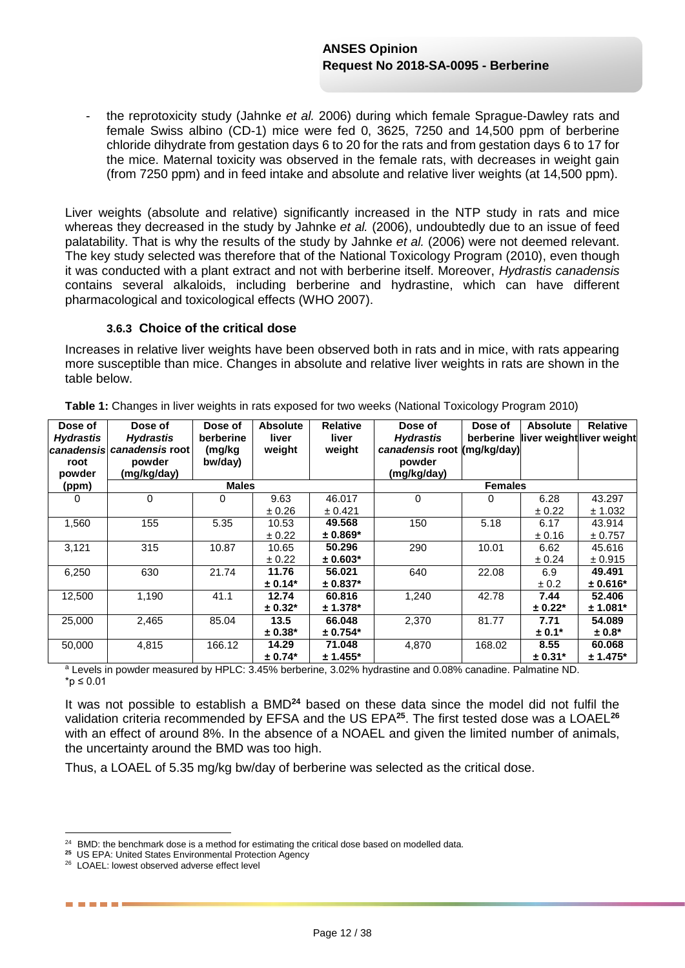- the reprotoxicity study (Jahnke *et al.* 2006) during which female Sprague-Dawley rats and female Swiss albino (CD-1) mice were fed 0, 3625, 7250 and 14,500 ppm of berberine chloride dihydrate from gestation days 6 to 20 for the rats and from gestation days 6 to 17 for the mice. Maternal toxicity was observed in the female rats, with decreases in weight gain (from 7250 ppm) and in feed intake and absolute and relative liver weights (at 14,500 ppm).

Liver weights (absolute and relative) significantly increased in the NTP study in rats and mice whereas they decreased in the study by Jahnke *et al.* (2006), undoubtedly due to an issue of feed palatability. That is why the results of the study by Jahnke *et al.* (2006) were not deemed relevant. The key study selected was therefore that of the National Toxicology Program (2010), even though it was conducted with a plant extract and not with berberine itself. Moreover, *Hydrastis canadensis* contains several alkaloids, including berberine and hydrastine, which can have different pharmacological and toxicological effects (WHO 2007).

#### **3.6.3 Choice of the critical dose**

Increases in relative liver weights have been observed both in rats and in mice, with rats appearing more susceptible than mice. Changes in absolute and relative liver weights in rats are shown in the table below.

| Dose of<br><b>Hydrastis</b><br>root<br>powder | Dose of<br><b>Hydrastis</b><br>canadensis canadensis root<br>powder<br>(mg/kg/day) | Dose of<br>berberine<br>(mg/kg<br>bw/day) | <b>Absolute</b><br>liver<br>weight | <b>Relative</b><br>liver<br>weight | Dose of<br><b>Hydrastis</b><br>canadensis root<br>powder<br>(mg/kg/day) | Dose of<br>berberine<br>(mg/kg/day) | <b>Absolute</b> | Relative<br>liver weightliver weight |
|-----------------------------------------------|------------------------------------------------------------------------------------|-------------------------------------------|------------------------------------|------------------------------------|-------------------------------------------------------------------------|-------------------------------------|-----------------|--------------------------------------|
| (ppm)                                         |                                                                                    | <b>Males</b>                              |                                    |                                    |                                                                         | <b>Females</b>                      |                 |                                      |
| $\Omega$                                      | $\Omega$                                                                           | 0                                         | 9.63                               | 46.017                             | $\Omega$                                                                | 0                                   | 6.28            | 43.297                               |
|                                               |                                                                                    |                                           | ± 0.26                             | ± 0.421                            |                                                                         |                                     | ± 0.22          | ± 1.032                              |
| 1,560                                         | 155                                                                                | 5.35                                      | 10.53                              | 49.568                             | 150                                                                     | 5.18                                | 6.17            | 43.914                               |
|                                               |                                                                                    |                                           | ± 0.22                             | $± 0.869*$                         |                                                                         |                                     | ± 0.16          | ± 0.757                              |
| 3,121                                         | 315                                                                                | 10.87                                     | 10.65                              | 50.296                             | 290                                                                     | 10.01                               | 6.62            | 45.616                               |
|                                               |                                                                                    |                                           | ± 0.22                             | $± 0.603*$                         |                                                                         |                                     | ± 0.24          | ± 0.915                              |
| 6,250                                         | 630                                                                                | 21.74                                     | 11.76                              | 56.021                             | 640                                                                     | 22.08                               | 6.9             | 49.491                               |
|                                               |                                                                                    |                                           | $± 0.14*$                          | $± 0.837*$                         |                                                                         |                                     | $\pm 0.2$       | $± 0.616*$                           |
| 12,500                                        | 1,190                                                                              | 41.1                                      | 12.74                              | 60.816                             | 1,240                                                                   | 42.78                               | 7.44            | 52.406                               |
|                                               |                                                                                    |                                           | $± 0.32*$                          | $± 1.378*$                         |                                                                         |                                     | $± 0.22*$       | $± 1.081*$                           |
| 25,000                                        | 2,465                                                                              | 85.04                                     | 13.5                               | 66.048                             | 2,370                                                                   | 81.77                               | 7.71            | 54.089                               |
|                                               |                                                                                    |                                           | $± 0.38*$                          | $± 0.754*$                         |                                                                         |                                     | $± 0.1*$        | $± 0.8*$                             |
| 50,000                                        | 4,815                                                                              | 166.12                                    | 14.29                              | 71.048                             | 4,870                                                                   | 168.02                              | 8.55            | 60.068                               |
|                                               |                                                                                    |                                           | $± 0.74*$                          | $± 1.455*$                         |                                                                         |                                     | $± 0.31*$       | $± 1.475*$                           |

**Table 1:** Changes in liver weights in rats exposed for two weeks (National Toxicology Program 2010)

<sup>a</sup> Levels in powder measured by HPLC: 3.45% berberine, 3.02% hydrastine and 0.08% canadine. Palmatine ND. \*p ≤ 0.01

It was not possible to establish a BMD**<sup>24</sup>** based on these data since the model did not fulfil the validation criteria recommended by EFSA and the US EPA**<sup>25</sup>**. The first tested dose was a LOAEL**<sup>26</sup>** with an effect of around 8%. In the absence of a NOAEL and given the limited number of animals. the uncertainty around the BMD was too high.

Thus, a LOAEL of 5.35 mg/kg bw/day of berberine was selected as the critical dose.

. . . . .

 24 BMD: the benchmark dose is a method for estimating the critical dose based on modelled data.

**<sup>25</sup>** US EPA: United States Environmental Protection Agency

<sup>26</sup> LOAEL: lowest observed adverse effect level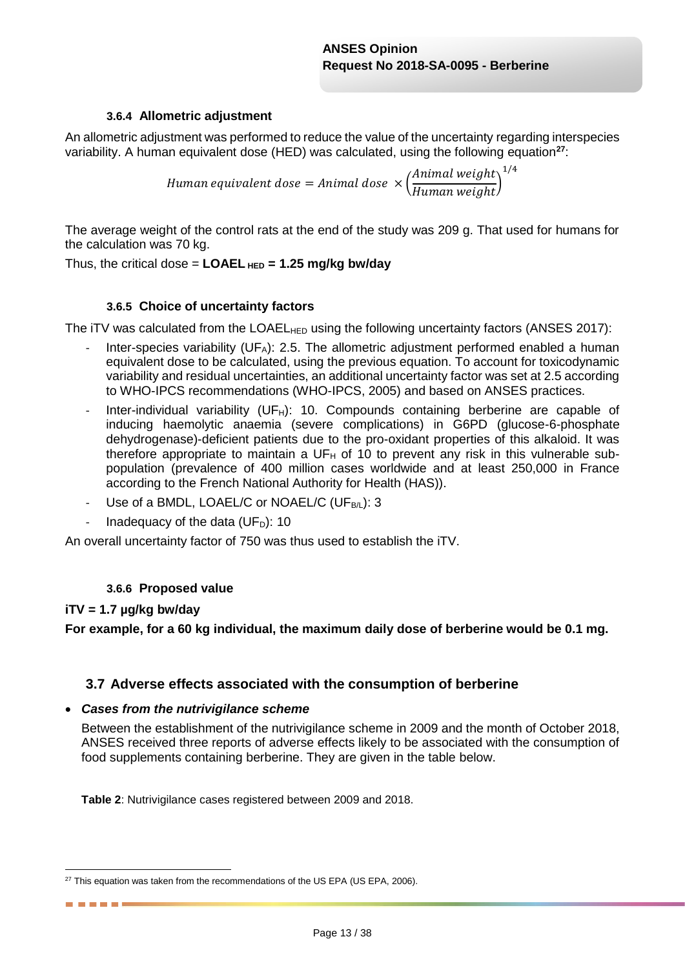### **3.6.4 Allometric adjustment**

An allometric adjustment was performed to reduce the value of the uncertainty regarding interspecies variability. A human equivalent dose (HED) was calculated, using the following equation**<sup>27</sup>**:

> Human equivalent dose = Animal dose  $\times$  ( Animal weight Human weight) 1/4

The average weight of the control rats at the end of the study was 209 g. That used for humans for the calculation was 70 kg.

Thus, the critical dose = **LOAEL HED = 1.25 mg/kg bw/day**

#### **3.6.5 Choice of uncertainty factors**

The iTV was calculated from the LOAEL<sub>HED</sub> using the following uncertainty factors (ANSES 2017):

- Inter-species variability (UF<sub>A</sub>): 2.5. The allometric adjustment performed enabled a human equivalent dose to be calculated, using the previous equation. To account for toxicodynamic variability and residual uncertainties, an additional uncertainty factor was set at 2.5 according to WHO-IPCS recommendations (WHO-IPCS, 2005) and based on ANSES practices.
- Inter-individual variability (UF $_H$ ): 10. Compounds containing berberine are capable of inducing haemolytic anaemia (severe complications) in G6PD (glucose-6-phosphate dehydrogenase)-deficient patients due to the pro-oxidant properties of this alkaloid. It was therefore appropriate to maintain a  $UF_H$  of 10 to prevent any risk in this vulnerable subpopulation (prevalence of 400 million cases worldwide and at least 250,000 in France according to the French National Authority for Health (HAS)).
- Use of a BMDL, LOAEL/C or NOAEL/C (UF $_{B/l}$ ): 3
- Inadequacy of the data ( $UF<sub>D</sub>$ ): 10

An overall uncertainty factor of 750 was thus used to establish the iTV.

#### **3.6.6 Proposed value**

#### **iTV = 1.7 µg/kg bw/day**

1

------

**For example, for a 60 kg individual, the maximum daily dose of berberine would be 0.1 mg.**

### **3.7 Adverse effects associated with the consumption of berberine**

#### *Cases from the nutrivigilance scheme*

Between the establishment of the nutrivigilance scheme in 2009 and the month of October 2018, ANSES received three reports of adverse effects likely to be associated with the consumption of food supplements containing berberine. They are given in the table below.

**Table 2**: Nutrivigilance cases registered between 2009 and 2018.

 $27$  This equation was taken from the recommendations of the US EPA (US EPA, 2006).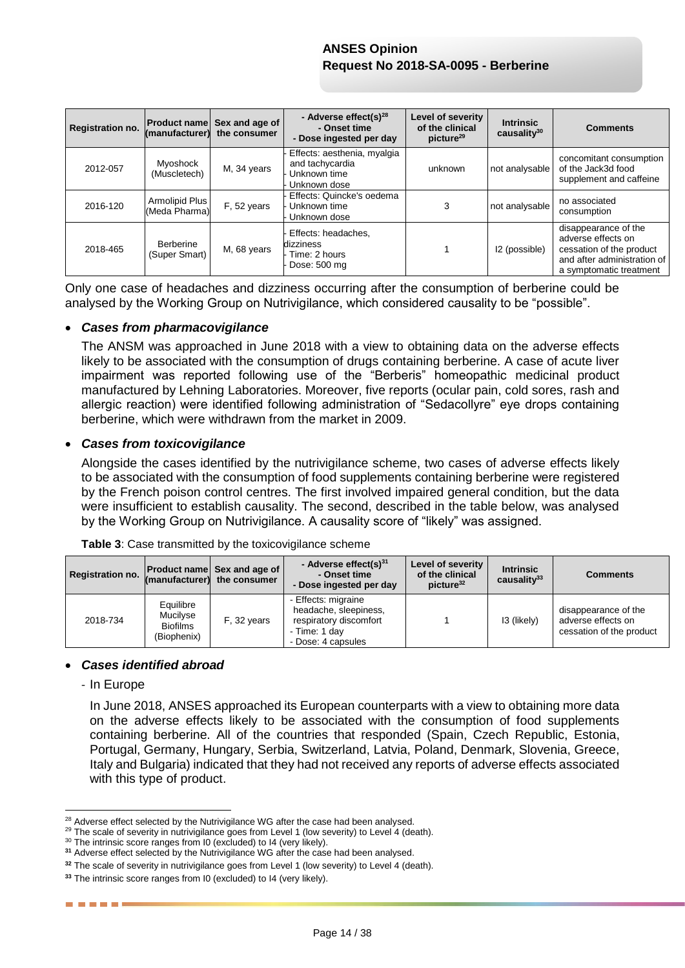| Registration no. | <b>Product name</b><br>(manufacturer) | Sex and age of<br>the consumer | - Adverse effect(s) $^{28}$<br>- Onset time<br>- Dose ingested per day         | Level of severity<br>of the clinical<br>picture <sup>29</sup> | <b>Intrinsic</b><br>causality $30$ | <b>Comments</b>                                                                                                                  |
|------------------|---------------------------------------|--------------------------------|--------------------------------------------------------------------------------|---------------------------------------------------------------|------------------------------------|----------------------------------------------------------------------------------------------------------------------------------|
| 2012-057         | <b>Myoshock</b><br>(Muscletech)       | M, 34 years                    | Effects: aesthenia, myalgia<br>and tachycardia<br>Unknown time<br>Unknown dose | unknown                                                       | not analysable                     | concomitant consumption<br>of the Jack3d food<br>supplement and caffeine                                                         |
| 2016-120         | Armolipid Plus<br>(Meda Pharma)       | F, 52 years                    | Effects: Quincke's oedema<br>Unknown time<br>Unknown dose                      | 3                                                             | not analysable                     | no associated<br>consumption                                                                                                     |
| 2018-465         | Berberine<br>(Super Smart)            | M, 68 years                    | Effects: headaches,<br>dizziness<br>Time: 2 hours<br>Dose: 500 mg              |                                                               | I2 (possible)                      | disappearance of the<br>adverse effects on<br>cessation of the product<br>and after administration of<br>a symptomatic treatment |

Only one case of headaches and dizziness occurring after the consumption of berberine could be analysed by the Working Group on Nutrivigilance, which considered causality to be "possible".

#### *Cases from pharmacovigilance*

The ANSM was approached in June 2018 with a view to obtaining data on the adverse effects likely to be associated with the consumption of drugs containing berberine. A case of acute liver impairment was reported following use of the "Berberis" homeopathic medicinal product manufactured by Lehning Laboratories. Moreover, five reports (ocular pain, cold sores, rash and allergic reaction) were identified following administration of "Sedacollyre" eye drops containing berberine, which were withdrawn from the market in 2009.

#### *Cases from toxicovigilance*

Alongside the cases identified by the nutrivigilance scheme, two cases of adverse effects likely to be associated with the consumption of food supplements containing berberine were registered by the French poison control centres. The first involved impaired general condition, but the data were insufficient to establish causality. The second, described in the table below, was analysed by the Working Group on Nutrivigilance. A causality score of "likely" was assigned.

| <b>Registration no.</b> |                                                         | <b>Product name Sex and age of</b><br>(manufacturer) the consumer | - Adverse effect(s) $31$<br>- Onset time<br>- Dose ingested per day                                           | Level of severity<br>of the clinical<br>picture <sup>32</sup> | <b>Intrinsic</b><br>causality $33$ | <b>Comments</b>                                                        |
|-------------------------|---------------------------------------------------------|-------------------------------------------------------------------|---------------------------------------------------------------------------------------------------------------|---------------------------------------------------------------|------------------------------------|------------------------------------------------------------------------|
| 2018-734                | Equilibre<br>Mucilyse<br><b>Biofilms</b><br>(Biophenix) | F, 32 years                                                       | - Effects: migraine<br>headache, sleepiness,<br>respiratory discomfort<br>- Time: 1 day<br>- Dose: 4 capsules |                                                               | 13 (likely)                        | disappearance of the<br>adverse effects on<br>cessation of the product |

**Table 3**: Case transmitted by the toxicovigilance scheme

#### *Cases identified abroad*

- In Europe

1

------

In June 2018, ANSES approached its European counterparts with a view to obtaining more data on the adverse effects likely to be associated with the consumption of food supplements containing berberine. All of the countries that responded (Spain, Czech Republic, Estonia, Portugal, Germany, Hungary, Serbia, Switzerland, Latvia, Poland, Denmark, Slovenia, Greece, Italy and Bulgaria) indicated that they had not received any reports of adverse effects associated with this type of product.

<sup>&</sup>lt;sup>28</sup> Adverse effect selected by the Nutrivigilance WG after the case had been analysed.

<sup>&</sup>lt;sup>29</sup> The scale of severity in nutrivigilance goes from Level 1 (low severity) to Level 4 (death).

<sup>&</sup>lt;sup>30</sup> The intrinsic score ranges from I0 (excluded) to I4 (very likely).

**<sup>31</sup>** Adverse effect selected by the Nutrivigilance WG after the case had been analysed.

<sup>&</sup>lt;sup>32</sup> The scale of severity in nutrivigilance goes from Level 1 (low severity) to Level 4 (death).

**<sup>33</sup>** The intrinsic score ranges from I0 (excluded) to I4 (very likely).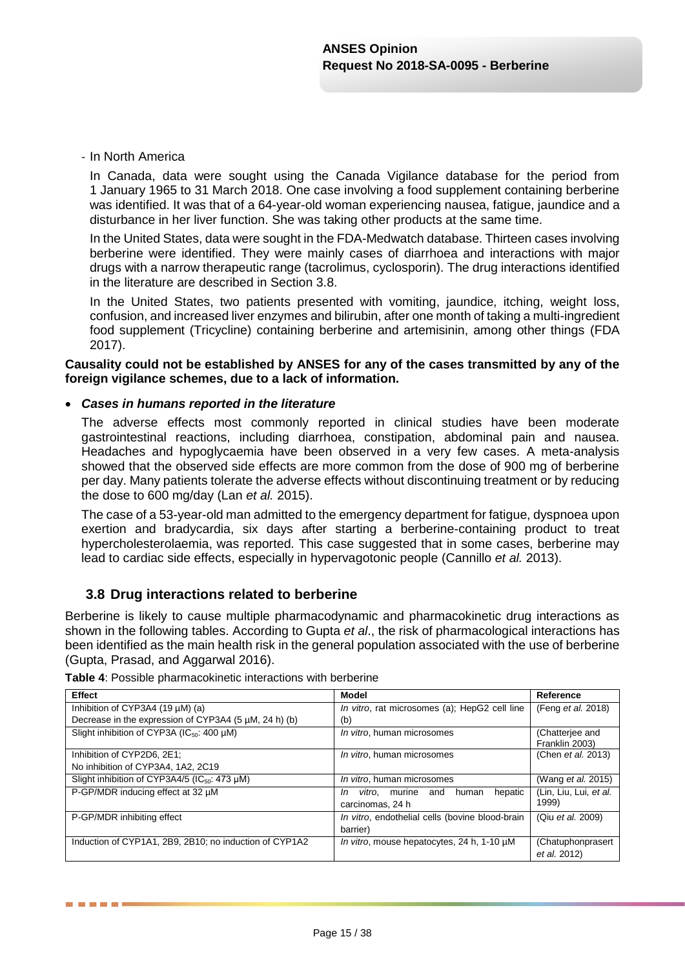#### - In North America

In Canada, data were sought using the Canada Vigilance database for the period from 1 January 1965 to 31 March 2018. One case involving a food supplement containing berberine was identified. It was that of a 64-year-old woman experiencing nausea, fatigue, jaundice and a disturbance in her liver function. She was taking other products at the same time.

In the United States, data were sought in the FDA-Medwatch database. Thirteen cases involving berberine were identified. They were mainly cases of diarrhoea and interactions with major drugs with a narrow therapeutic range (tacrolimus, cyclosporin). The drug interactions identified in the literature are described in Section 3.8.

In the United States, two patients presented with vomiting, jaundice, itching, weight loss, confusion, and increased liver enzymes and bilirubin, after one month of taking a multi-ingredient food supplement (Tricycline) containing berberine and artemisinin, among other things (FDA 2017).

#### **Causality could not be established by ANSES for any of the cases transmitted by any of the foreign vigilance schemes, due to a lack of information.**

#### *Cases in humans reported in the literature*

The adverse effects most commonly reported in clinical studies have been moderate gastrointestinal reactions, including diarrhoea, constipation, abdominal pain and nausea. Headaches and hypoglycaemia have been observed in a very few cases. A meta-analysis showed that the observed side effects are more common from the dose of 900 mg of berberine per day. Many patients tolerate the adverse effects without discontinuing treatment or by reducing the dose to 600 mg/day (Lan *et al.* 2015).

The case of a 53-year-old man admitted to the emergency department for fatigue, dyspnoea upon exertion and bradycardia, six days after starting a berberine-containing product to treat hypercholesterolaemia, was reported. This case suggested that in some cases, berberine may lead to cardiac side effects, especially in hypervagotonic people (Cannillo *et al.* 2013).

### **3.8 Drug interactions related to berberine**

Berberine is likely to cause multiple pharmacodynamic and pharmacokinetic drug interactions as shown in the following tables. According to Gupta *et al*., the risk of pharmacological interactions has been identified as the main health risk in the general population associated with the use of berberine (Gupta, Prasad, and Aggarwal 2016).

| <b>Effect</b>                                             | Model                                                                 | Reference                         |
|-----------------------------------------------------------|-----------------------------------------------------------------------|-----------------------------------|
| Inhibition of CYP3A4 (19 $\mu$ M) (a)                     | In vitro, rat microsomes (a); HepG2 cell line                         | (Feng et al. 2018)                |
| Decrease in the expression of CYP3A4 (5 µM, 24 h) (b)     | (b)                                                                   |                                   |
| Slight inhibition of CYP3A ( $IC_{50}$ : 400 µM)          | In vitro, human microsomes                                            | (Chatterjee and<br>Franklin 2003) |
| Inhibition of CYP2D6, 2E1;                                | In vitro, human microsomes                                            | (Chen et al. 2013)                |
| No inhibition of CYP3A4, 1A2, 2C19                        |                                                                       |                                   |
| Slight inhibition of CYP3A4/5 (IC <sub>50</sub> : 473 µM) | In vitro, human microsomes                                            | (Wang et al. 2015)                |
| P-GP/MDR inducing effect at 32 µM                         | hepatic<br>vitro.<br>human<br>and<br>murine<br>In<br>carcinomas, 24 h | (Lin, Liu, Lui, et al.<br>1999)   |
| P-GP/MDR inhibiting effect                                | In vitro, endothelial cells (bovine blood-brain<br>barrier)           | (Qiu et al. 2009)                 |
| Induction of CYP1A1, 2B9, 2B10; no induction of CYP1A2    | In vitro, mouse hepatocytes, 24 h, 1-10 µM                            | (Chatuphonprasert<br>et al. 2012) |

**Table 4**: Possible pharmacokinetic interactions with berberine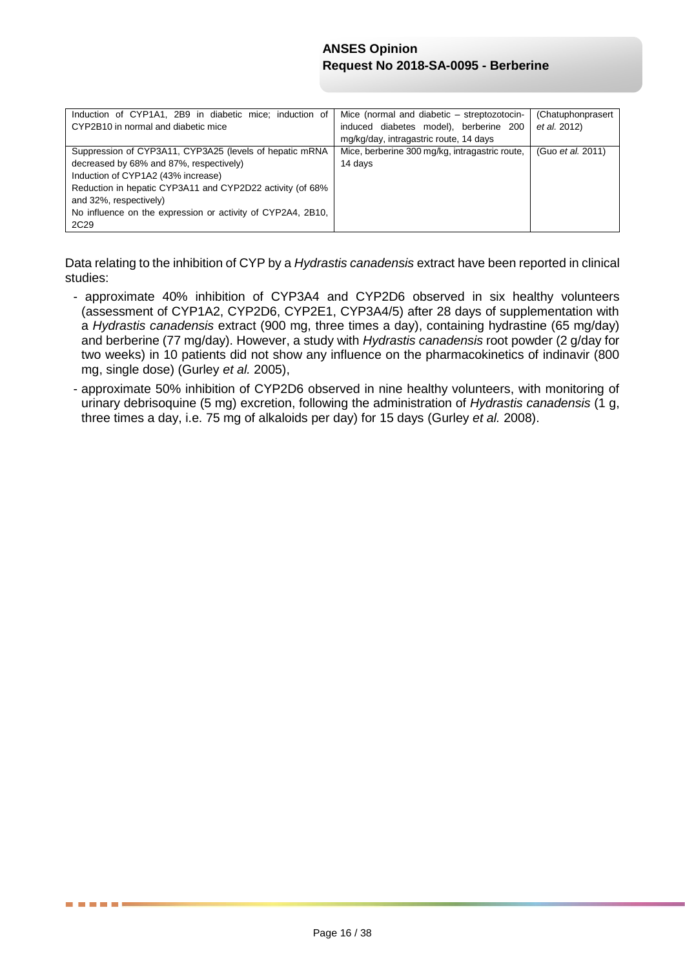| Induction of CYP1A1, 2B9 in diabetic mice; induction of<br>CYP2B10 in normal and diabetic mice                                                                                                                                                                                                                     | Mice (normal and diabetic – streptozotocin-<br>induced diabetes model), berberine 200<br>mg/kg/day, intragastric route, 14 days | (Chatuphonprasert<br>et al. 2012) |
|--------------------------------------------------------------------------------------------------------------------------------------------------------------------------------------------------------------------------------------------------------------------------------------------------------------------|---------------------------------------------------------------------------------------------------------------------------------|-----------------------------------|
| Suppression of CYP3A11, CYP3A25 (levels of hepatic mRNA<br>decreased by 68% and 87%, respectively)<br>Induction of CYP1A2 (43% increase)<br>Reduction in hepatic CYP3A11 and CYP2D22 activity (of 68%<br>and 32%, respectively)<br>No influence on the expression or activity of CYP2A4, 2B10,<br>2C <sub>29</sub> | Mice, berberine 300 mg/kg, intragastric route,<br>14 days                                                                       | (Guo <i>et al.</i> 2011)          |

Data relating to the inhibition of CYP by a *Hydrastis canadensis* extract have been reported in clinical studies:

- approximate 40% inhibition of CYP3A4 and CYP2D6 observed in six healthy volunteers (assessment of CYP1A2, CYP2D6, CYP2E1, CYP3A4/5) after 28 days of supplementation with a *Hydrastis canadensis* extract (900 mg, three times a day), containing hydrastine (65 mg/day) and berberine (77 mg/day). However, a study with *Hydrastis canadensis* root powder (2 g/day for two weeks) in 10 patients did not show any influence on the pharmacokinetics of indinavir (800 mg, single dose) (Gurley *et al.* 2005),
- approximate 50% inhibition of CYP2D6 observed in nine healthy volunteers, with monitoring of urinary debrisoquine (5 mg) excretion, following the administration of *Hydrastis canadensis* (1 g, three times a day, i.e. 75 mg of alkaloids per day) for 15 days (Gurley *et al.* 2008).

. . . .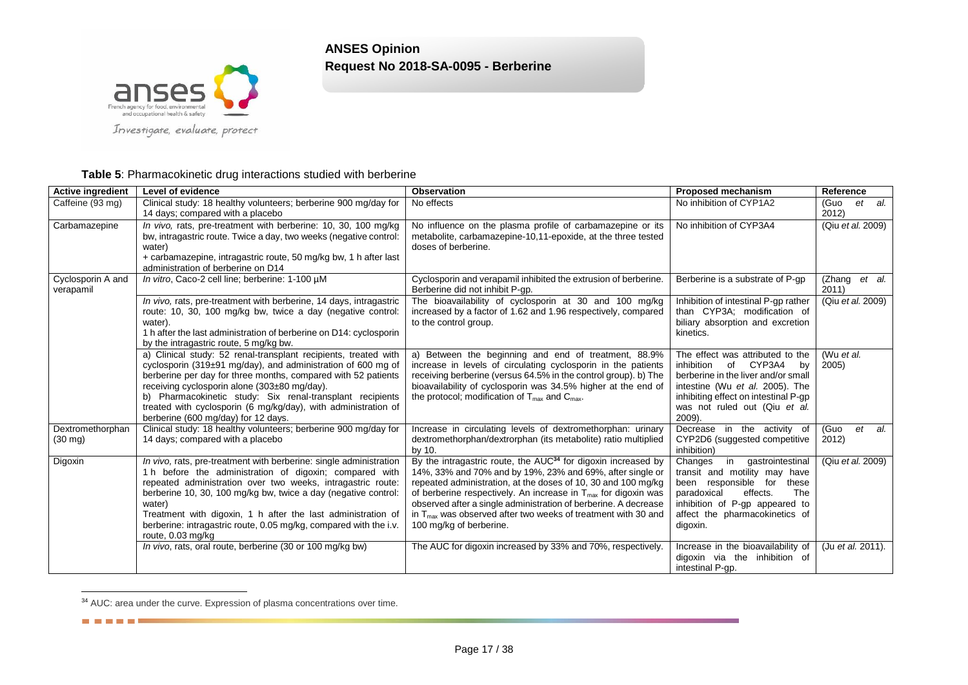

Investigate, evaluate, protect

#### **Table 5**: Pharmacokinetic drug interactions studied with berberine

| <b>Active ingredient</b>              | Level of evidence                                                                                                                                                                                                                                                                                                                                                                                                                  | <b>Observation</b>                                                                                                                                                                                                                                                                                                                                                                                                                                               | <b>Proposed mechanism</b>                                                                                                                                                                                                      | Reference               |
|---------------------------------------|------------------------------------------------------------------------------------------------------------------------------------------------------------------------------------------------------------------------------------------------------------------------------------------------------------------------------------------------------------------------------------------------------------------------------------|------------------------------------------------------------------------------------------------------------------------------------------------------------------------------------------------------------------------------------------------------------------------------------------------------------------------------------------------------------------------------------------------------------------------------------------------------------------|--------------------------------------------------------------------------------------------------------------------------------------------------------------------------------------------------------------------------------|-------------------------|
| Caffeine (93 mg)                      | Clinical study: 18 healthy volunteers; berberine 900 mg/day for<br>14 days; compared with a placebo                                                                                                                                                                                                                                                                                                                                | No effects                                                                                                                                                                                                                                                                                                                                                                                                                                                       | No inhibition of CYP1A2                                                                                                                                                                                                        | et al.<br>(Guo<br>2012  |
| Carbamazepine                         | In vivo, rats, pre-treatment with berberine: 10, 30, 100 mg/kg<br>bw, intragastric route. Twice a day, two weeks (negative control:<br>water)<br>+ carbamazepine, intragastric route, 50 mg/kg bw, 1 h after last<br>administration of berberine on D14                                                                                                                                                                            | No influence on the plasma profile of carbamazepine or its<br>metabolite, carbamazepine-10,11-epoxide, at the three tested<br>doses of berberine.                                                                                                                                                                                                                                                                                                                | No inhibition of CYP3A4                                                                                                                                                                                                        | (Qiu et al. 2009)       |
| Cyclosporin A and<br>verapamil        | In vitro, Caco-2 cell line; berberine: 1-100 µM                                                                                                                                                                                                                                                                                                                                                                                    | Cyclosporin and verapamil inhibited the extrusion of berberine.<br>Berberine did not inhibit P-gp.                                                                                                                                                                                                                                                                                                                                                               | Berberine is a substrate of P-gp                                                                                                                                                                                               | (Zhang et al.<br>2011   |
|                                       | In vivo, rats, pre-treatment with berberine, 14 days, intragastric<br>route: 10, 30, 100 mg/kg bw, twice a day (negative control:<br>water).<br>1 h after the last administration of berberine on D14: cyclosporin<br>by the intragastric route, 5 mg/kg bw.                                                                                                                                                                       | The bioavailability of cyclosporin at 30 and 100 mg/kg<br>increased by a factor of 1.62 and 1.96 respectively, compared<br>to the control group.                                                                                                                                                                                                                                                                                                                 | Inhibition of intestinal P-gp rather<br>than CYP3A; modification of<br>biliary absorption and excretion<br>kinetics.                                                                                                           | (Qiu et al. 2009)       |
|                                       | a) Clinical study: 52 renal-transplant recipients, treated with<br>cyclosporin (319±91 mg/day), and administration of 600 mg of<br>berberine per day for three months, compared with 52 patients<br>receiving cyclosporin alone (303±80 mg/day).<br>b) Pharmacokinetic study: Six renal-transplant recipients<br>treated with cyclosporin (6 mg/kg/day), with administration of<br>berberine (600 mg/day) for 12 days.             | a) Between the beginning and end of treatment, 88.9%<br>increase in levels of circulating cyclosporin in the patients<br>receiving berberine (versus 64.5% in the control group). b) The<br>bioavailability of cyclosporin was 34.5% higher at the end of<br>the protocol; modification of $T_{\text{max}}$ and $C_{\text{max}}$ .                                                                                                                               | The effect was attributed to the<br>inhibition<br>of CYP3A4<br>by<br>berberine in the liver and/or small<br>intestine (Wu et al. 2005). The<br>inhibiting effect on intestinal P-gp<br>was not ruled out (Qiu et al.<br>2009). | (Wu et al.<br>2005      |
| Dextromethorphan<br>$(30 \text{ mg})$ | Clinical study: 18 healthy volunteers; berberine 900 mg/day for<br>14 days; compared with a placebo                                                                                                                                                                                                                                                                                                                                | Increase in circulating levels of dextromethorphan: urinary<br>dextromethorphan/dextrorphan (its metabolite) ratio multiplied<br>by 10.                                                                                                                                                                                                                                                                                                                          | Decrease in the activity of<br>CYP2D6 (suggested competitive<br>inhibition)                                                                                                                                                    | (Guo<br>et al.<br>2012) |
| Digoxin                               | In vivo, rats, pre-treatment with berberine: single administration<br>1 h before the administration of digoxin; compared with<br>repeated administration over two weeks, intragastric route:<br>berberine 10, 30, 100 mg/kg bw, twice a day (negative control:<br>water)<br>Treatment with digoxin, 1 h after the last administration of<br>berberine: intragastric route, 0.05 mg/kg, compared with the i.v.<br>route, 0.03 mg/kg | By the intragastric route, the AUC <sup>34</sup> for digoxin increased by<br>14%, 33% and 70% and by 19%, 23% and 69%, after single or<br>repeated administration, at the doses of 10, 30 and 100 mg/kg<br>of berberine respectively. An increase in $T_{\text{max}}$ for digoxin was<br>observed after a single administration of berberine. A decrease<br>in $T_{\text{max}}$ was observed after two weeks of treatment with 30 and<br>100 mg/kg of berberine. | in<br>Changes<br>gastrointestinal<br>transit and motility may have<br>been responsible for<br>these<br>effects.<br>paradoxical<br>The<br>inhibition of P-gp appeared to<br>affect the pharmacokinetics of<br>digoxin.          | (Qiu et al. 2009)       |
|                                       | In vivo, rats, oral route, berberine (30 or 100 mg/kg bw)                                                                                                                                                                                                                                                                                                                                                                          | The AUC for digoxin increased by 33% and 70%, respectively.                                                                                                                                                                                                                                                                                                                                                                                                      | Increase in the bioavailability of<br>digoxin via the inhibition of<br>intestinal P-qp.                                                                                                                                        | (Ju et al. 2011).       |

<sup>&</sup>lt;sup>34</sup> AUC: area under the curve. Expression of plasma concentrations over time.

20 20 21 22 23 24

l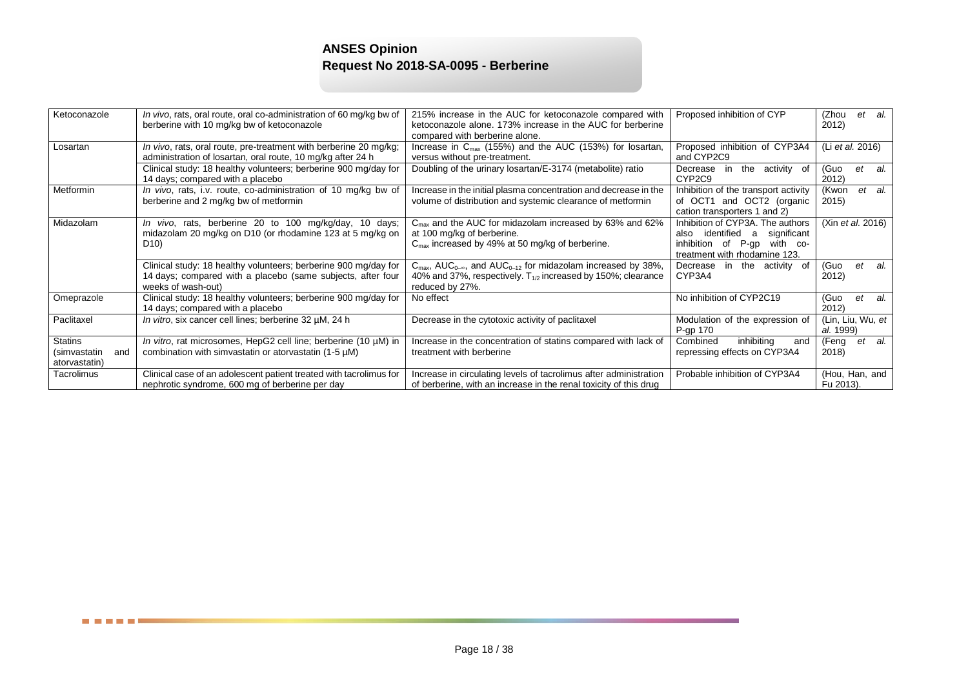| Ketoconazole                         | In vivo, rats, oral route, oral co-administration of 60 mg/kg bw of                                                                                  | 215% increase in the AUC for ketoconazole compared with                                                                                                                                                   | Proposed inhibition of CYP                                                                                                              | (Zhou<br>et<br>al.             |
|--------------------------------------|------------------------------------------------------------------------------------------------------------------------------------------------------|-----------------------------------------------------------------------------------------------------------------------------------------------------------------------------------------------------------|-----------------------------------------------------------------------------------------------------------------------------------------|--------------------------------|
|                                      | berberine with 10 mg/kg bw of ketoconazole                                                                                                           | ketoconazole alone. 173% increase in the AUC for berberine                                                                                                                                                |                                                                                                                                         | 2012)                          |
|                                      |                                                                                                                                                      | compared with berberine alone.                                                                                                                                                                            |                                                                                                                                         |                                |
| Losartan                             | In vivo, rats, oral route, pre-treatment with berberine 20 mg/kg;<br>administration of losartan, oral route, 10 mg/kg after 24 h                     | Increase in $C_{\text{max}}$ (155%) and the AUC (153%) for losartan,<br>versus without pre-treatment.                                                                                                     | Proposed inhibition of CYP3A4<br>and CYP2C9                                                                                             | (Li et al. 2016)               |
|                                      | Clinical study: 18 healthy volunteers; berberine 900 mg/day for<br>14 days; compared with a placebo                                                  | Doubling of the urinary losartan/E-3174 (metabolite) ratio                                                                                                                                                | the activity of<br>Decrease<br>in<br>CYP2C9                                                                                             | (Guo<br>et<br>al.<br>2012)     |
| Metformin                            | In vivo, rats, i.v. route, co-administration of 10 mg/kg bw of<br>berberine and 2 mg/kg bw of metformin                                              | Increase in the initial plasma concentration and decrease in the<br>volume of distribution and systemic clearance of metformin                                                                            | Inhibition of the transport activity<br>of OCT1 and OCT2 (organic<br>cation transporters 1 and 2)                                       | et al.<br>(Kwon<br>2015)       |
| Midazolam                            | In vivo, rats, berberine 20 to 100 mg/kg/day, 10 days;<br>midazolam 20 mg/kg on D10 (or rhodamine 123 at 5 mg/kg on<br>D <sub>10</sub> )             | $C_{\text{max}}$ and the AUC for midazolam increased by 63% and 62%<br>at 100 mg/kg of berberine.<br>$C_{\text{max}}$ increased by 49% at 50 mg/kg of berberine.                                          | Inhibition of CYP3A. The authors<br>also identified a<br>significant<br>inhibition of P-gp<br>with co-<br>treatment with rhodamine 123. | (Xin et al. 2016)              |
|                                      | Clinical study: 18 healthy volunteers; berberine 900 mg/day for<br>14 days; compared with a placebo (same subjects, after four<br>weeks of wash-out) | $C_{\text{max}}$ , AUC <sub>0-<math>\infty</math></sub> , and AUC <sub>0-12</sub> for midazolam increased by 38%,<br>40% and 37%, respectively. $T_{1/2}$ increased by 150%; clearance<br>reduced by 27%. | the activity of<br>Decrease<br>in<br>CYP3A4                                                                                             | (Guo<br>al.<br>et<br>2012)     |
| Omeprazole                           | Clinical study: 18 healthy volunteers; berberine 900 mg/day for<br>14 days; compared with a placebo                                                  | No effect                                                                                                                                                                                                 | No inhibition of CYP2C19                                                                                                                | (Guo<br>et<br>al.<br>2012)     |
| Paclitaxel                           | In vitro, six cancer cell lines; berberine 32 µM, 24 h                                                                                               | Decrease in the cytotoxic activity of paclitaxel                                                                                                                                                          | Modulation of the expression of<br>P-gp 170                                                                                             | (Lin, Liu, Wu, et<br>al. 1999) |
| Statins                              | In vitro, rat microsomes, HepG2 cell line; berberine (10 µM) in                                                                                      | Increase in the concentration of statins compared with lack of                                                                                                                                            | inhibiting<br>Combined<br>and                                                                                                           | al.<br>(Feng<br>et             |
| (simvastatin<br>and<br>atorvastatin) | combination with simvastatin or atorvastatin (1-5 µM)                                                                                                | treatment with berberine                                                                                                                                                                                  | repressing effects on CYP3A4                                                                                                            | 2018)                          |
| Tacrolimus                           | Clinical case of an adolescent patient treated with tacrolimus for<br>nephrotic syndrome, 600 mg of berberine per day                                | Increase in circulating levels of tacrolimus after administration<br>of berberine, with an increase in the renal toxicity of this drug                                                                    | Probable inhibition of CYP3A4                                                                                                           | (Hou, Han, and<br>Fu 2013).    |

÷.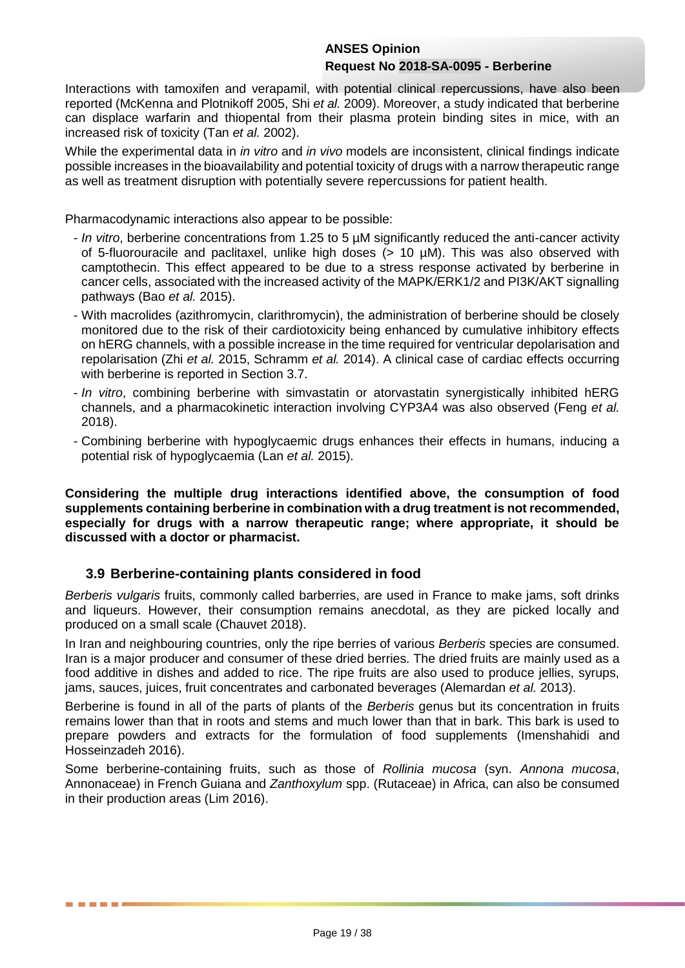Interactions with tamoxifen and verapamil, with potential clinical repercussions, have also been reported (McKenna and Plotnikoff 2005, Shi *et al.* 2009). Moreover, a study indicated that berberine can displace warfarin and thiopental from their plasma protein binding sites in mice, with an increased risk of toxicity (Tan *et al.* 2002).

While the experimental data in *in vitro* and *in vivo* models are inconsistent, clinical findings indicate possible increases in the bioavailability and potential toxicity of drugs with a narrow therapeutic range as well as treatment disruption with potentially severe repercussions for patient health.

Pharmacodynamic interactions also appear to be possible:

- *- In vitro*, berberine concentrations from 1.25 to 5 µM significantly reduced the anti-cancer activity of 5-fluorouracile and paclitaxel, unlike high doses  $(> 10 \mu M)$ . This was also observed with camptothecin. This effect appeared to be due to a stress response activated by berberine in cancer cells, associated with the increased activity of the MAPK/ERK1/2 and PI3K/AKT signalling pathways (Bao *et al.* 2015).
- *-* With macrolides (azithromycin, clarithromycin), the administration of berberine should be closely monitored due to the risk of their cardiotoxicity being enhanced by cumulative inhibitory effects on hERG channels, with a possible increase in the time required for ventricular depolarisation and repolarisation (Zhi *et al.* 2015, Schramm *et al.* 2014). A clinical case of cardiac effects occurring with berberine is reported in Section 3.7.
- *- In vitro*, combining berberine with simvastatin or atorvastatin synergistically inhibited hERG channels, and a pharmacokinetic interaction involving CYP3A4 was also observed (Feng *et al.* 2018).
- *-* Combining berberine with hypoglycaemic drugs enhances their effects in humans, inducing a potential risk of hypoglycaemia (Lan *et al.* 2015).

**Considering the multiple drug interactions identified above, the consumption of food supplements containing berberine in combination with a drug treatment is not recommended, especially for drugs with a narrow therapeutic range; where appropriate, it should be discussed with a doctor or pharmacist.**

# **3.9 Berberine-containing plants considered in food**

*Berberis vulgaris* fruits, commonly called barberries, are used in France to make jams, soft drinks and liqueurs. However, their consumption remains anecdotal, as they are picked locally and produced on a small scale (Chauvet 2018).

In Iran and neighbouring countries, only the ripe berries of various *Berberis* species are consumed. Iran is a major producer and consumer of these dried berries. The dried fruits are mainly used as a food additive in dishes and added to rice. The ripe fruits are also used to produce jellies, syrups, jams, sauces, juices, fruit concentrates and carbonated beverages (Alemardan *et al.* 2013).

Berberine is found in all of the parts of plants of the *Berberis* genus but its concentration in fruits remains lower than that in roots and stems and much lower than that in bark. This bark is used to prepare powders and extracts for the formulation of food supplements (Imenshahidi and Hosseinzadeh 2016).

Some berberine-containing fruits, such as those of *Rollinia mucosa* (syn. *Annona mucosa*, Annonaceae) in French Guiana and *Zanthoxylum* spp. (Rutaceae) in Africa, can also be consumed in their production areas (Lim 2016).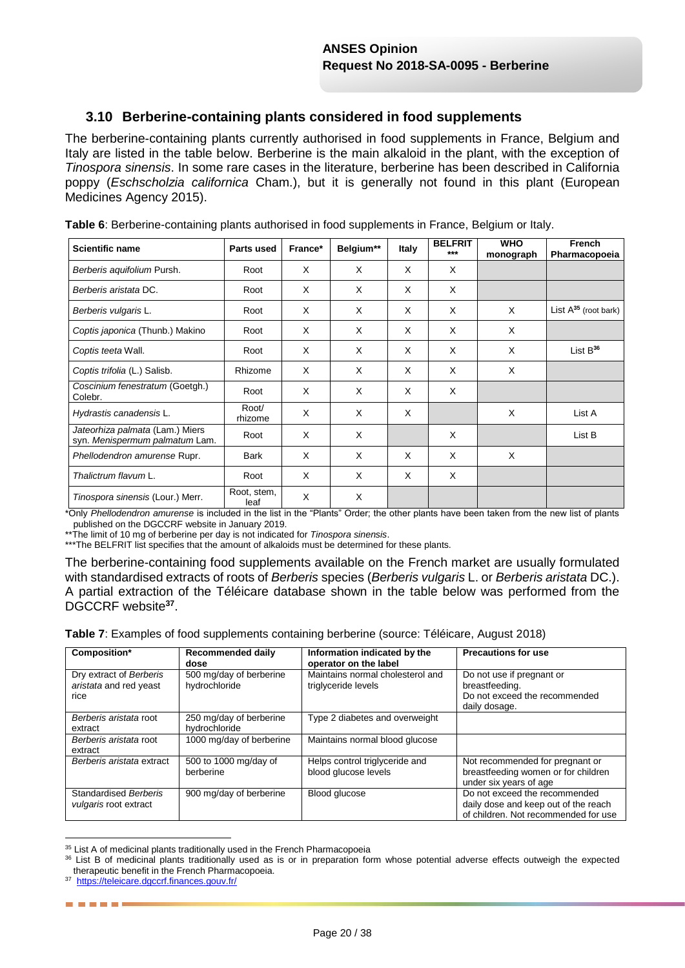# **3.10 Berberine-containing plants considered in food supplements**

The berberine-containing plants currently authorised in food supplements in France, Belgium and Italy are listed in the table below. Berberine is the main alkaloid in the plant, with the exception of *Tinospora sinensis*. In some rare cases in the literature, berberine has been described in California poppy (*Eschscholzia californica* Cham.), but it is generally not found in this plant (European Medicines Agency 2015).

| <b>Scientific name</b>                                            | Parts used          | France* | Belgium** | <b>Italy</b> | <b>BELFRIT</b><br>$***$ | <b>WHO</b><br>monograph | French<br>Pharmacopoeia   |
|-------------------------------------------------------------------|---------------------|---------|-----------|--------------|-------------------------|-------------------------|---------------------------|
| Berberis aguifolium Pursh.                                        | Root                | X       | X         | X            | X                       |                         |                           |
| Berberis aristata DC.                                             | Root                | X       | X         | X            | X                       |                         |                           |
| Berberis vulgaris L.                                              | Root                | X       | X         | X            | X                       | X                       | List $A^{35}$ (root bark) |
| Coptis japonica (Thunb.) Makino                                   | Root                | X       | X         | X            | X                       | X                       |                           |
| Coptis teeta Wall.                                                | Root                | X       | X         | X            | X                       | X                       | List $B^{36}$             |
| Coptis trifolia (L.) Salisb.                                      | Rhizome             | X       | X         | X            | X                       | X                       |                           |
| Coscinium fenestratum (Goetgh.)<br>Colebr.                        | Root                | X       | X         | X            | X                       |                         |                           |
| Hydrastis canadensis L.                                           | Root/<br>rhizome    | X       | X         | X            |                         | X                       | List A                    |
| Jateorhiza palmata (Lam.) Miers<br>syn. Menispermum palmatum Lam. | Root                | X       | X         |              | X                       |                         | List B                    |
| Phellodendron amurense Rupr.                                      | <b>Bark</b>         | X       | X         | X            | X                       | X                       |                           |
| Thalictrum flavum L.                                              | Root                | X       | X         | X            | X                       |                         |                           |
| Tinospora sinensis (Lour.) Merr.                                  | Root, stem,<br>leaf | X       | X         |              |                         |                         |                           |

**Table 6**: Berberine-containing plants authorised in food supplements in France, Belgium or Italy.

\*Only *Phellodendron amurense* is included in the list in the "Plants" Order; the other plants have been taken from the new list of plants published on the DGCCRF website in January 2019.

\*\*The limit of 10 mg of berberine per day is not indicated for *Tinospora sinensis*.

\*\*\*The BELFRIT list specifies that the amount of alkaloids must be determined for these plants.

The berberine-containing food supplements available on the French market are usually formulated with standardised extracts of roots of *Berberis* species (*Berberis vulgaris* L. or *Berberis aristata* DC.). A partial extraction of the Téléicare database shown in the table below was performed from the DGCCRF website**<sup>37</sup>** .

**Table 7**: Examples of food supplements containing berberine (source: Téléicare, August 2018)

| Composition*                                              | Recommended daily<br>dose                | Information indicated by the<br>operator on the label   | <b>Precautions for use</b>                                                                                    |
|-----------------------------------------------------------|------------------------------------------|---------------------------------------------------------|---------------------------------------------------------------------------------------------------------------|
| Dry extract of Berberis<br>aristata and red yeast<br>rice | 500 mg/day of berberine<br>hydrochloride | Maintains normal cholesterol and<br>triglyceride levels | Do not use if pregnant or<br>breastfeeding.<br>Do not exceed the recommended<br>daily dosage.                 |
| Berberis aristata root<br>extract                         | 250 mg/day of berberine<br>hydrochloride | Type 2 diabetes and overweight                          |                                                                                                               |
| Berberis aristata root<br>extract                         | 1000 mg/day of berberine                 | Maintains normal blood glucose                          |                                                                                                               |
| Berberis aristata extract                                 | 500 to 1000 mg/day of<br>berberine       | Helps control triglyceride and<br>blood glucose levels  | Not recommended for pregnant or<br>breastfeeding women or for children<br>under six years of age              |
| Standardised Berberis<br>vulgaris root extract            | 900 mg/day of berberine                  | <b>Blood glucose</b>                                    | Do not exceed the recommended<br>daily dose and keep out of the reach<br>of children. Not recommended for use |

<sup>1</sup> <sup>35</sup> List A of medicinal plants traditionally used in the French Pharmacopoeia

------

<sup>36</sup> List B of medicinal plants traditionally used as is or in preparation form whose potential adverse effects outweigh the expected therapeutic benefit in the French Pharmacopoeia.

<sup>37</sup><https://teleicare.dgccrf.finances.gouv.fr/>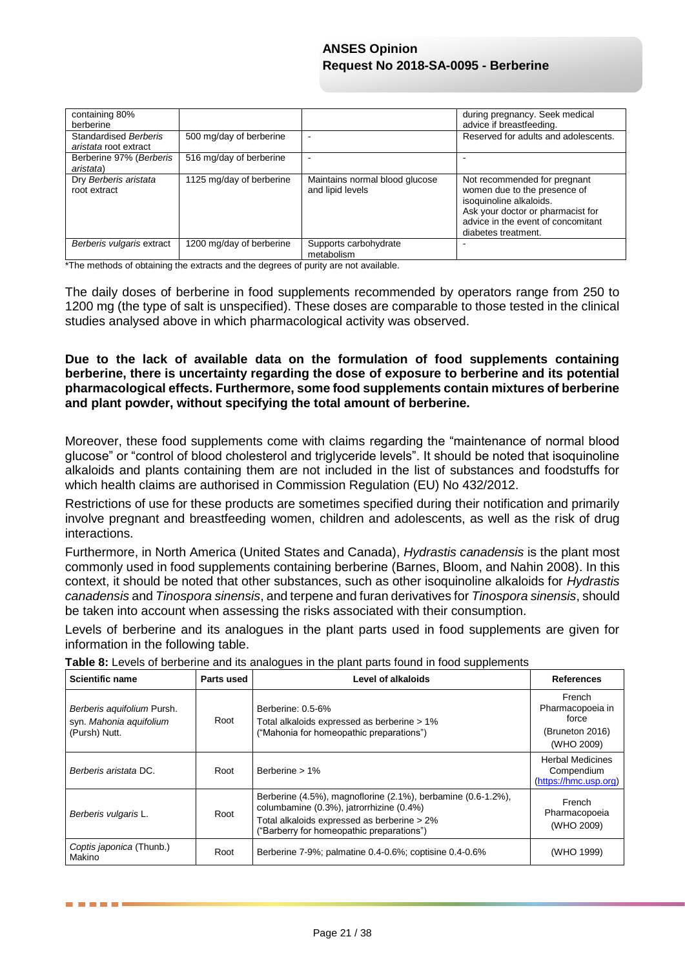| containing 80%<br>berberine                           |                          |                                                    | during pregnancy. Seek medical<br>advice if breastfeeding.                                                                                                                                |
|-------------------------------------------------------|--------------------------|----------------------------------------------------|-------------------------------------------------------------------------------------------------------------------------------------------------------------------------------------------|
| <b>Standardised Berberis</b><br>aristata root extract | 500 mg/day of berberine  |                                                    | Reserved for adults and adolescents.                                                                                                                                                      |
| Berberine 97% (Berberis<br>aristata)                  | 516 mg/day of berberine  |                                                    |                                                                                                                                                                                           |
| Dry Berberis aristata<br>root extract                 | 1125 mg/day of berberine | Maintains normal blood glucose<br>and lipid levels | Not recommended for pregnant<br>women due to the presence of<br>isoquinoline alkaloids.<br>Ask your doctor or pharmacist for<br>advice in the event of concomitant<br>diabetes treatment. |
| Berberis vulgaris extract                             | 1200 mg/day of berberine | Supports carbohydrate<br>metabolism                |                                                                                                                                                                                           |

\*The methods of obtaining the extracts and the degrees of purity are not available.

The daily doses of berberine in food supplements recommended by operators range from 250 to 1200 mg (the type of salt is unspecified). These doses are comparable to those tested in the clinical studies analysed above in which pharmacological activity was observed.

**Due to the lack of available data on the formulation of food supplements containing berberine, there is uncertainty regarding the dose of exposure to berberine and its potential pharmacological effects. Furthermore, some food supplements contain mixtures of berberine and plant powder, without specifying the total amount of berberine.**

Moreover, these food supplements come with claims regarding the "maintenance of normal blood glucose" or "control of blood cholesterol and triglyceride levels". It should be noted that isoquinoline alkaloids and plants containing them are not included in the list of substances and foodstuffs for which health claims are authorised in Commission Regulation (EU) No 432/2012.

Restrictions of use for these products are sometimes specified during their notification and primarily involve pregnant and breastfeeding women, children and adolescents, as well as the risk of drug interactions.

Furthermore, in North America (United States and Canada), *Hydrastis canadensis* is the plant most commonly used in food supplements containing berberine (Barnes, Bloom, and Nahin 2008). In this context, it should be noted that other substances, such as other isoquinoline alkaloids for *Hydrastis canadensis* and *Tinospora sinensis*, and terpene and furan derivatives for *Tinospora sinensis*, should be taken into account when assessing the risks associated with their consumption.

Levels of berberine and its analogues in the plant parts used in food supplements are given for information in the following table.

| <b>Scientific name</b>                                                 | Parts used | Level of alkaloids                                                                                                                                                                                   | <b>References</b>                                                    |
|------------------------------------------------------------------------|------------|------------------------------------------------------------------------------------------------------------------------------------------------------------------------------------------------------|----------------------------------------------------------------------|
| Berberis aquifolium Pursh.<br>syn. Mahonia aguifolium<br>(Pursh) Nutt. | Root       | Berberine: 0.5-6%<br>Total alkaloids expressed as berberine > 1%<br>("Mahonia for homeopathic preparations")                                                                                         | French<br>Pharmacopoeia in<br>force<br>(Bruneton 2016)<br>(WHO 2009) |
| Berberis aristata DC.                                                  | Root       | Berberine $> 1\%$                                                                                                                                                                                    | <b>Herbal Medicines</b><br>Compendium<br>(https://hmc.usp.org)       |
| Berberis vulgaris L.                                                   | Root       | Berberine (4.5%), magnoflorine (2.1%), berbamine (0.6-1.2%),<br>columbamine (0.3%), jatrorrhizine (0.4%)<br>Total alkaloids expressed as berberine > 2%<br>("Barberry for homeopathic preparations") | French<br>Pharmacopoeia<br>(WHO 2009)                                |
| Coptis japonica (Thunb.)<br>Makino                                     | Root       | Berberine 7-9%; palmatine 0.4-0.6%; coptisine 0.4-0.6%                                                                                                                                               | (WHO 1999)                                                           |

**Table 8:** Levels of berberine and its analogues in the plant parts found in food supplements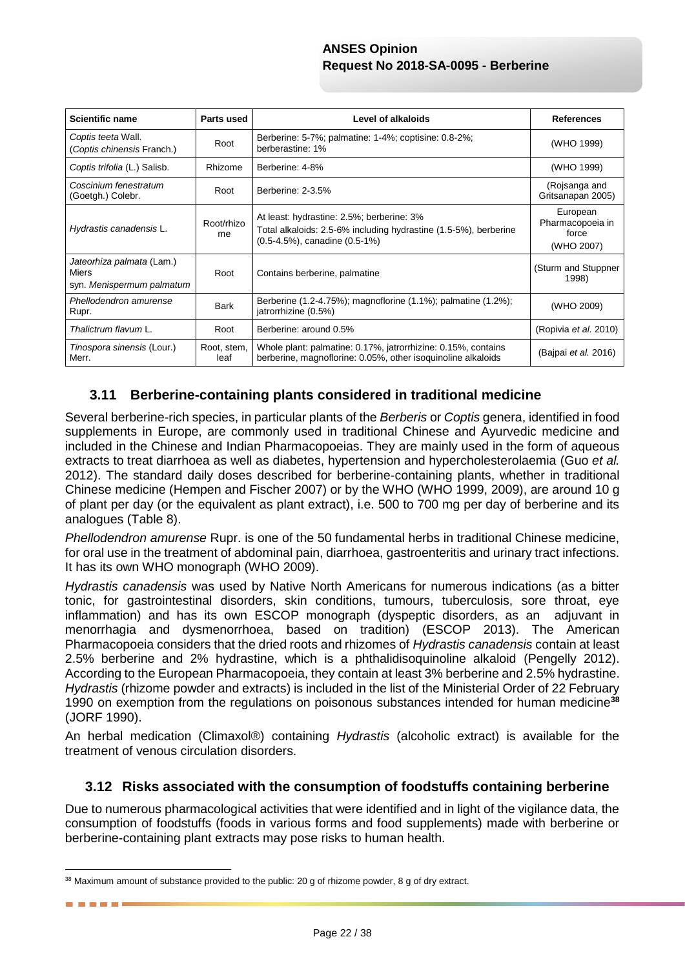| <b>Scientific name</b>                                          | Parts used          | <b>Level of alkaloids</b>                                                                                                                      | <b>References</b>                                   |
|-----------------------------------------------------------------|---------------------|------------------------------------------------------------------------------------------------------------------------------------------------|-----------------------------------------------------|
| Coptis teeta Wall.<br>(Coptis chinensis Franch.)                | Root                | Berberine: 5-7%; palmatine: 1-4%; coptisine: 0.8-2%;<br>berberastine: 1%                                                                       | (WHO 1999)                                          |
| Coptis trifolia (L.) Salisb.                                    | Rhizome             | Berberine: 4-8%                                                                                                                                | (WHO 1999)                                          |
| Coscinium fenestratum<br>(Goetgh.) Colebr.                      | Root                | Berberine: 2-3.5%                                                                                                                              | (Rojsanga and<br>Gritsanapan 2005)                  |
| Hydrastis canadensis L.                                         | Root/rhizo<br>me    | At least: hydrastine: 2.5%; berberine: 3%<br>Total alkaloids: 2.5-6% including hydrastine (1.5-5%), berberine<br>(0.5-4.5%), canadine (0.5-1%) | European<br>Pharmacopoeia in<br>force<br>(WHO 2007) |
| Jateorhiza palmata (Lam.)<br>Miers<br>syn. Menispermum palmatum | Root                | Contains berberine, palmatine                                                                                                                  | (Sturm and Stuppner<br>1998)                        |
| Phellodendron amurense<br>Rupr.                                 | Bark                | Berberine (1.2-4.75%); magnoflorine (1.1%); palmatine (1.2%);<br>jatrorrhizine (0.5%)                                                          | (WHO 2009)                                          |
| Thalictrum flavum L.                                            | Root                | Berberine: around 0.5%                                                                                                                         | (Ropivia et al. 2010)                               |
| Tinospora sinensis (Lour.)<br>Merr.                             | Root, stem,<br>leaf | Whole plant: palmatine: 0.17%, jatrorrhizine: 0.15%, contains<br>berberine, magnoflorine: 0.05%, other isoguinoline alkaloids                  | (Bajpai <i>et al.</i> 2016)                         |

# **3.11 Berberine-containing plants considered in traditional medicine**

Several berberine-rich species, in particular plants of the *Berberis* or *Coptis* genera, identified in food supplements in Europe, are commonly used in traditional Chinese and Ayurvedic medicine and included in the Chinese and Indian Pharmacopoeias. They are mainly used in the form of aqueous extracts to treat diarrhoea as well as diabetes, hypertension and hypercholesterolaemia (Guo *et al.* 2012). The standard daily doses described for berberine-containing plants, whether in traditional Chinese medicine (Hempen and Fischer 2007) or by the WHO (WHO 1999, 2009), are around 10 g of plant per day (or the equivalent as plant extract), i.e. 500 to 700 mg per day of berberine and its analogues (Table 8).

*Phellodendron amurense* Rupr. is one of the 50 fundamental herbs in traditional Chinese medicine, for oral use in the treatment of abdominal pain, diarrhoea, gastroenteritis and urinary tract infections. It has its own WHO monograph (WHO 2009).

*Hydrastis canadensis* was used by Native North Americans for numerous indications (as a bitter tonic, for gastrointestinal disorders, skin conditions, tumours, tuberculosis, sore throat, eye inflammation) and has its own ESCOP monograph (dyspeptic disorders, as an adjuvant in menorrhagia and dysmenorrhoea, based on tradition) (ESCOP 2013). The American Pharmacopoeia considers that the dried roots and rhizomes of *Hydrastis canadensis* contain at least 2.5% berberine and 2% hydrastine, which is a phthalidisoquinoline alkaloid (Pengelly 2012). According to the European Pharmacopoeia, they contain at least 3% berberine and 2.5% hydrastine. *Hydrastis* (rhizome powder and extracts) is included in the list of the Ministerial Order of 22 February 1990 on exemption from the regulations on poisonous substances intended for human medicine**<sup>38</sup>** (JORF 1990).

An herbal medication (Climaxol®) containing *Hydrastis* (alcoholic extract) is available for the treatment of venous circulation disorders.

# **3.12 Risks associated with the consumption of foodstuffs containing berberine**

Due to numerous pharmacological activities that were identified and in light of the vigilance data, the consumption of foodstuffs (foods in various forms and food supplements) made with berberine or berberine-containing plant extracts may pose risks to human health.

1

<sup>&</sup>lt;sup>38</sup> Maximum amount of substance provided to the public: 20 g of rhizome powder, 8 g of dry extract.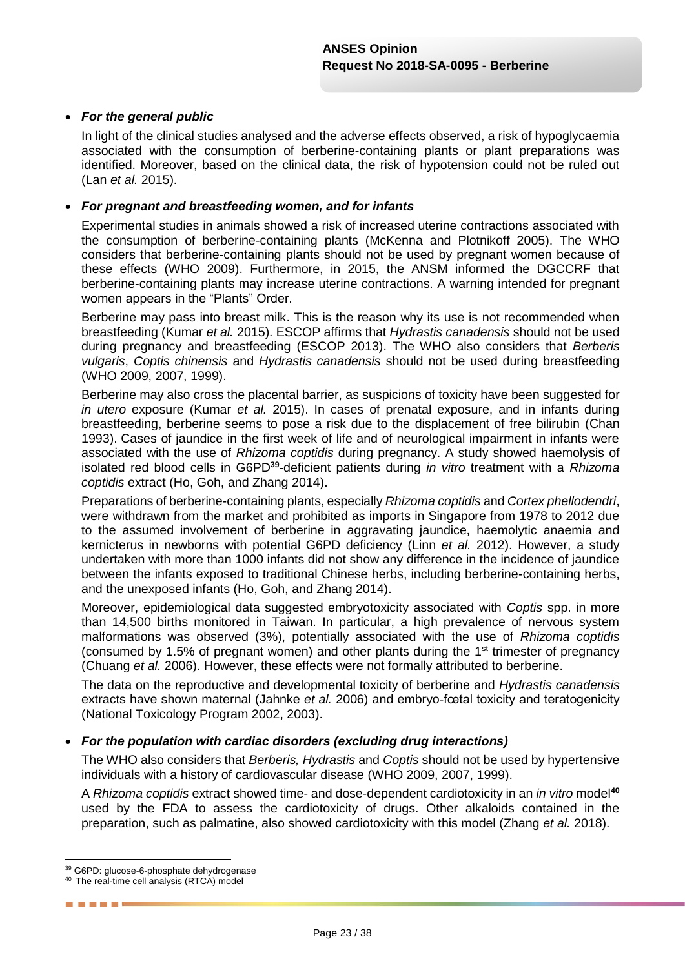#### *For the general public*

In light of the clinical studies analysed and the adverse effects observed, a risk of hypoglycaemia associated with the consumption of berberine-containing plants or plant preparations was identified. Moreover, based on the clinical data, the risk of hypotension could not be ruled out (Lan *et al.* 2015).

#### *For pregnant and breastfeeding women, and for infants*

Experimental studies in animals showed a risk of increased uterine contractions associated with the consumption of berberine-containing plants (McKenna and Plotnikoff 2005). The WHO considers that berberine-containing plants should not be used by pregnant women because of these effects (WHO 2009). Furthermore, in 2015, the ANSM informed the DGCCRF that berberine-containing plants may increase uterine contractions. A warning intended for pregnant women appears in the "Plants" Order.

Berberine may pass into breast milk. This is the reason why its use is not recommended when breastfeeding (Kumar *et al.* 2015). ESCOP affirms that *Hydrastis canadensis* should not be used during pregnancy and breastfeeding (ESCOP 2013). The WHO also considers that *Berberis vulgaris*, *Coptis chinensis* and *Hydrastis canadensis* should not be used during breastfeeding (WHO 2009, 2007, 1999).

Berberine may also cross the placental barrier, as suspicions of toxicity have been suggested for *in utero* exposure (Kumar *et al.* 2015). In cases of prenatal exposure, and in infants during breastfeeding, berberine seems to pose a risk due to the displacement of free bilirubin (Chan 1993). Cases of jaundice in the first week of life and of neurological impairment in infants were associated with the use of *Rhizoma coptidis* during pregnancy. A study showed haemolysis of isolated red blood cells in G6PD**<sup>39</sup>** -deficient patients during *in vitro* treatment with a *Rhizoma coptidis* extract (Ho, Goh, and Zhang 2014).

Preparations of berberine-containing plants, especially *Rhizoma coptidis* and *Cortex phellodendri*, were withdrawn from the market and prohibited as imports in Singapore from 1978 to 2012 due to the assumed involvement of berberine in aggravating jaundice, haemolytic anaemia and kernicterus in newborns with potential G6PD deficiency (Linn *et al.* 2012). However, a study undertaken with more than 1000 infants did not show any difference in the incidence of jaundice between the infants exposed to traditional Chinese herbs, including berberine-containing herbs, and the unexposed infants (Ho, Goh, and Zhang 2014).

Moreover, epidemiological data suggested embryotoxicity associated with *Coptis* spp. in more than 14,500 births monitored in Taiwan. In particular, a high prevalence of nervous system malformations was observed (3%), potentially associated with the use of *Rhizoma coptidis* (consumed by 1.5% of pregnant women) and other plants during the 1st trimester of pregnancy (Chuang *et al.* 2006). However, these effects were not formally attributed to berberine.

The data on the reproductive and developmental toxicity of berberine and *Hydrastis canadensis*  extracts have shown maternal (Jahnke *et al.* 2006) and embryo-fœtal toxicity and teratogenicity (National Toxicology Program 2002, 2003).

#### *For the population with cardiac disorders (excluding drug interactions)*

The WHO also considers that *Berberis, Hydrastis* and *Coptis* should not be used by hypertensive individuals with a history of cardiovascular disease (WHO 2009, 2007, 1999).

A *Rhizoma coptidis* extract showed time- and dose-dependent cardiotoxicity in an *in vitro* model**<sup>40</sup>** used by the FDA to assess the cardiotoxicity of drugs. Other alkaloids contained in the preparation, such as palmatine, also showed cardiotoxicity with this model (Zhang *et al.* 2018).

1

-----

<sup>39</sup> G6PD: glucose-6-phosphate dehydrogenase

<sup>40</sup> The real-time cell analysis (RTCA) model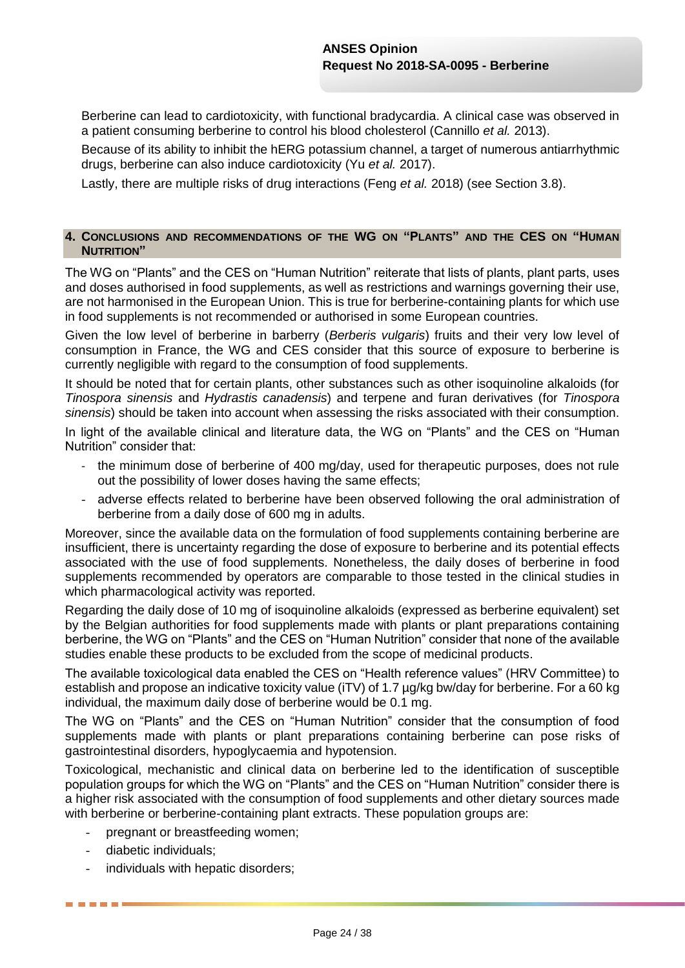Berberine can lead to cardiotoxicity, with functional bradycardia. A clinical case was observed in a patient consuming berberine to control his blood cholesterol (Cannillo *et al.* 2013).

Because of its ability to inhibit the hERG potassium channel, a target of numerous antiarrhythmic drugs, berberine can also induce cardiotoxicity (Yu *et al.* 2017).

Lastly, there are multiple risks of drug interactions (Feng *et al.* 2018) (see Section 3.8).

#### **4. CONCLUSIONS AND RECOMMENDATIONS OF THE WG ON "PLANTS" AND THE CES ON "HUMAN NUTRITION"**

The WG on "Plants" and the CES on "Human Nutrition" reiterate that lists of plants, plant parts, uses and doses authorised in food supplements, as well as restrictions and warnings governing their use, are not harmonised in the European Union. This is true for berberine-containing plants for which use in food supplements is not recommended or authorised in some European countries.

Given the low level of berberine in barberry (*Berberis vulgaris*) fruits and their very low level of consumption in France, the WG and CES consider that this source of exposure to berberine is currently negligible with regard to the consumption of food supplements.

It should be noted that for certain plants, other substances such as other isoquinoline alkaloids (for *Tinospora sinensis* and *Hydrastis canadensis*) and terpene and furan derivatives (for *Tinospora sinensis*) should be taken into account when assessing the risks associated with their consumption.

In light of the available clinical and literature data, the WG on "Plants" and the CES on "Human Nutrition" consider that:

- the minimum dose of berberine of 400 mg/day, used for therapeutic purposes, does not rule out the possibility of lower doses having the same effects;
- adverse effects related to berberine have been observed following the oral administration of berberine from a daily dose of 600 mg in adults.

Moreover, since the available data on the formulation of food supplements containing berberine are insufficient, there is uncertainty regarding the dose of exposure to berberine and its potential effects associated with the use of food supplements. Nonetheless, the daily doses of berberine in food supplements recommended by operators are comparable to those tested in the clinical studies in which pharmacological activity was reported.

Regarding the daily dose of 10 mg of isoquinoline alkaloids (expressed as berberine equivalent) set by the Belgian authorities for food supplements made with plants or plant preparations containing berberine, the WG on "Plants" and the CES on "Human Nutrition" consider that none of the available studies enable these products to be excluded from the scope of medicinal products.

The available toxicological data enabled the CES on "Health reference values" (HRV Committee) to establish and propose an indicative toxicity value (iTV) of 1.7 µg/kg bw/day for berberine. For a 60 kg individual, the maximum daily dose of berberine would be 0.1 mg.

The WG on "Plants" and the CES on "Human Nutrition" consider that the consumption of food supplements made with plants or plant preparations containing berberine can pose risks of gastrointestinal disorders, hypoglycaemia and hypotension.

Toxicological, mechanistic and clinical data on berberine led to the identification of susceptible population groups for which the WG on "Plants" and the CES on "Human Nutrition" consider there is a higher risk associated with the consumption of food supplements and other dietary sources made with berberine or berberine-containing plant extracts. These population groups are:

- pregnant or breastfeeding women;
- diabetic individuals;

-----

individuals with hepatic disorders;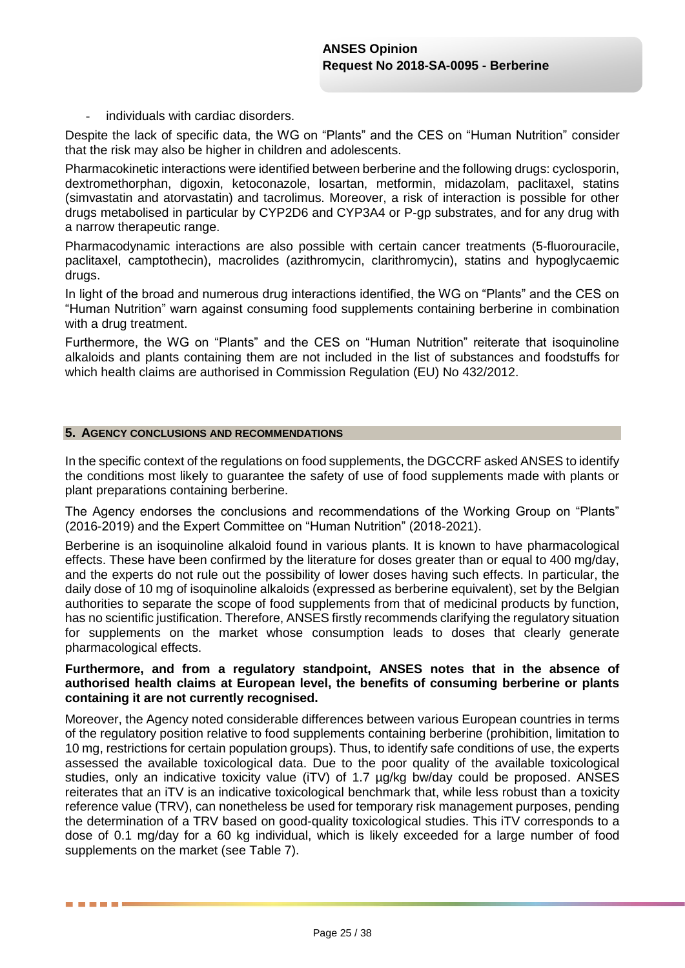individuals with cardiac disorders.

Despite the lack of specific data, the WG on "Plants" and the CES on "Human Nutrition" consider that the risk may also be higher in children and adolescents.

Pharmacokinetic interactions were identified between berberine and the following drugs: cyclosporin, dextromethorphan, digoxin, ketoconazole, losartan, metformin, midazolam, paclitaxel, statins (simvastatin and atorvastatin) and tacrolimus. Moreover, a risk of interaction is possible for other drugs metabolised in particular by CYP2D6 and CYP3A4 or P-gp substrates, and for any drug with a narrow therapeutic range.

Pharmacodynamic interactions are also possible with certain cancer treatments (5-fluorouracile, paclitaxel, camptothecin), macrolides (azithromycin, clarithromycin), statins and hypoglycaemic drugs.

In light of the broad and numerous drug interactions identified, the WG on "Plants" and the CES on "Human Nutrition" warn against consuming food supplements containing berberine in combination with a drug treatment.

Furthermore, the WG on "Plants" and the CES on "Human Nutrition" reiterate that isoquinoline alkaloids and plants containing them are not included in the list of substances and foodstuffs for which health claims are authorised in Commission Regulation (EU) No 432/2012.

#### **5. AGENCY CONCLUSIONS AND RECOMMENDATIONS**

In the specific context of the regulations on food supplements, the DGCCRF asked ANSES to identify the conditions most likely to guarantee the safety of use of food supplements made with plants or plant preparations containing berberine.

The Agency endorses the conclusions and recommendations of the Working Group on "Plants" (2016-2019) and the Expert Committee on "Human Nutrition" (2018-2021).

Berberine is an isoquinoline alkaloid found in various plants. It is known to have pharmacological effects. These have been confirmed by the literature for doses greater than or equal to 400 mg/day. and the experts do not rule out the possibility of lower doses having such effects. In particular, the daily dose of 10 mg of isoquinoline alkaloids (expressed as berberine equivalent), set by the Belgian authorities to separate the scope of food supplements from that of medicinal products by function, has no scientific justification. Therefore, ANSES firstly recommends clarifying the regulatory situation for supplements on the market whose consumption leads to doses that clearly generate pharmacological effects.

### **Furthermore, and from a regulatory standpoint, ANSES notes that in the absence of authorised health claims at European level, the benefits of consuming berberine or plants containing it are not currently recognised.**

Moreover, the Agency noted considerable differences between various European countries in terms of the regulatory position relative to food supplements containing berberine (prohibition, limitation to 10 mg, restrictions for certain population groups). Thus, to identify safe conditions of use, the experts assessed the available toxicological data. Due to the poor quality of the available toxicological studies, only an indicative toxicity value (iTV) of 1.7 µg/kg bw/day could be proposed. ANSES reiterates that an iTV is an indicative toxicological benchmark that, while less robust than a toxicity reference value (TRV), can nonetheless be used for temporary risk management purposes, pending the determination of a TRV based on good-quality toxicological studies. This iTV corresponds to a dose of 0.1 mg/day for a 60 kg individual, which is likely exceeded for a large number of food supplements on the market (see Table 7).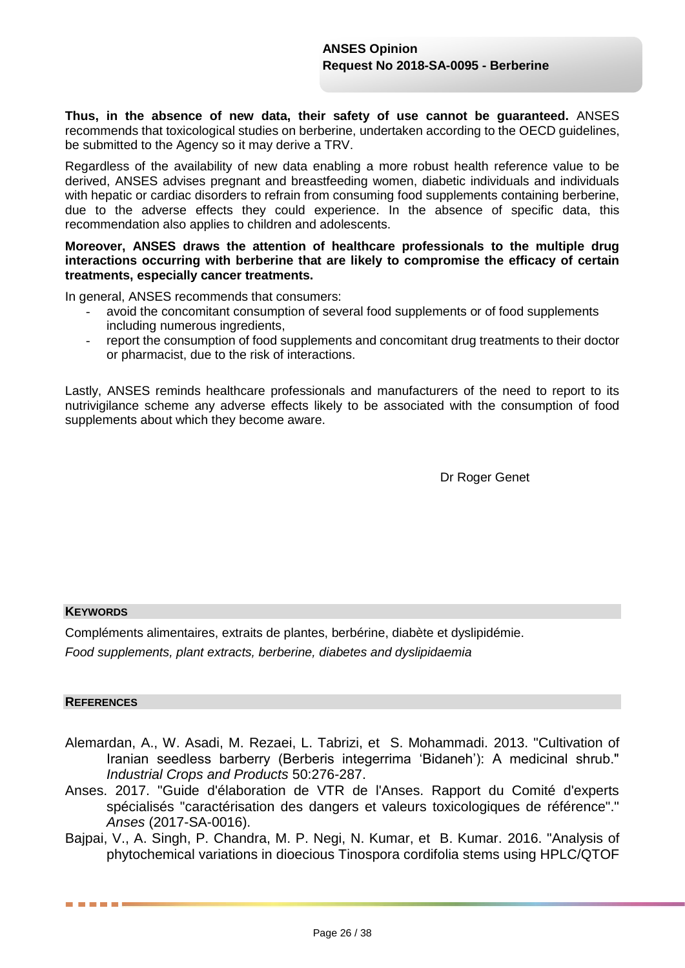**Thus, in the absence of new data, their safety of use cannot be guaranteed.** ANSES recommends that toxicological studies on berberine, undertaken according to the OECD guidelines, be submitted to the Agency so it may derive a TRV.

Regardless of the availability of new data enabling a more robust health reference value to be derived, ANSES advises pregnant and breastfeeding women, diabetic individuals and individuals with hepatic or cardiac disorders to refrain from consuming food supplements containing berberine, due to the adverse effects they could experience. In the absence of specific data, this recommendation also applies to children and adolescents.

#### **Moreover, ANSES draws the attention of healthcare professionals to the multiple drug interactions occurring with berberine that are likely to compromise the efficacy of certain treatments, especially cancer treatments.**

In general, ANSES recommends that consumers:

- avoid the concomitant consumption of several food supplements or of food supplements including numerous ingredients,
- report the consumption of food supplements and concomitant drug treatments to their doctor or pharmacist, due to the risk of interactions.

Lastly, ANSES reminds healthcare professionals and manufacturers of the need to report to its nutrivigilance scheme any adverse effects likely to be associated with the consumption of food supplements about which they become aware.

Dr Roger Genet

#### **KEYWORDS**

Compléments alimentaires, extraits de plantes, berbérine, diabète et dyslipidémie.

*Food supplements, plant extracts, berberine, diabetes and dyslipidaemia*

#### **REFERENCES**

- Alemardan, A., W. Asadi, M. Rezaei, L. Tabrizi, et S. Mohammadi. 2013. "Cultivation of Iranian seedless barberry (Berberis integerrima 'Bidaneh'): A medicinal shrub." *Industrial Crops and Products* 50:276-287.
- Anses. 2017. "Guide d'élaboration de VTR de l'Anses. Rapport du Comité d'experts spécialisés "caractérisation des dangers et valeurs toxicologiques de référence"." *Anses* (2017-SA-0016).
- Bajpai, V., A. Singh, P. Chandra, M. P. Negi, N. Kumar, et B. Kumar. 2016. "Analysis of phytochemical variations in dioecious Tinospora cordifolia stems using HPLC/QTOF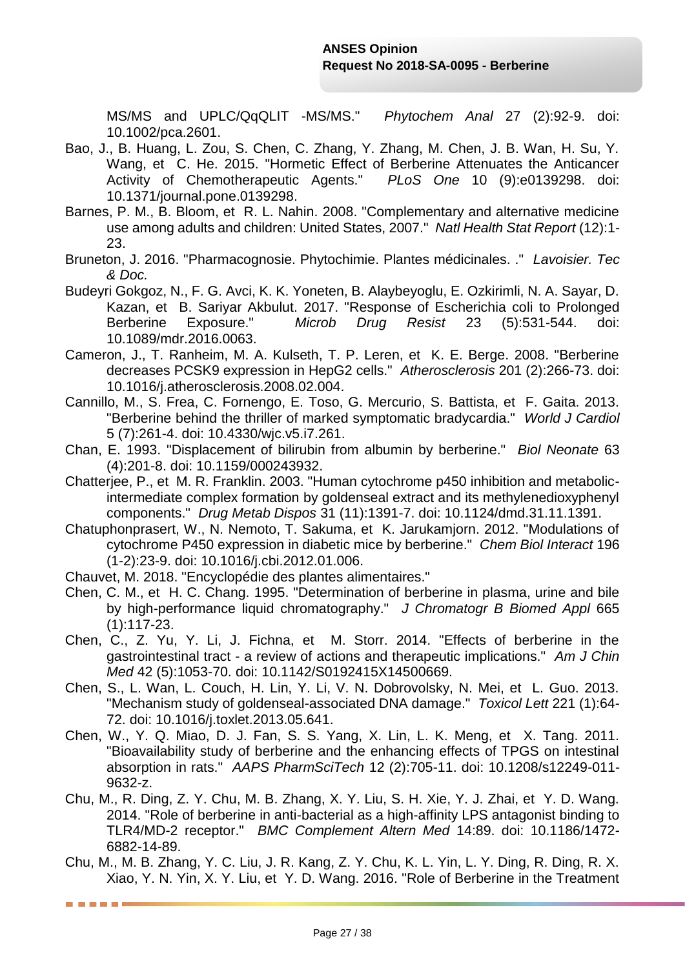MS/MS and UPLC/QqQLIT -MS/MS." *Phytochem Anal* 27 (2):92-9. doi: 10.1002/pca.2601.

- Bao, J., B. Huang, L. Zou, S. Chen, C. Zhang, Y. Zhang, M. Chen, J. B. Wan, H. Su, Y. Wang, et C. He. 2015. "Hormetic Effect of Berberine Attenuates the Anticancer Activity of Chemotherapeutic Agents." *PLoS One* 10 (9):e0139298. doi: 10.1371/journal.pone.0139298.
- Barnes, P. M., B. Bloom, et R. L. Nahin. 2008. "Complementary and alternative medicine use among adults and children: United States, 2007." *Natl Health Stat Report* (12):1- 23.
- Bruneton, J. 2016. "Pharmacognosie. Phytochimie. Plantes médicinales. ." *Lavoisier. Tec & Doc.*
- Budeyri Gokgoz, N., F. G. Avci, K. K. Yoneten, B. Alaybeyoglu, E. Ozkirimli, N. A. Sayar, D. Kazan, et B. Sariyar Akbulut. 2017. "Response of Escherichia coli to Prolonged Berberine Exposure." *Microb Drug Resist* 23 (5):531-544. doi: 10.1089/mdr.2016.0063.
- Cameron, J., T. Ranheim, M. A. Kulseth, T. P. Leren, et K. E. Berge. 2008. "Berberine decreases PCSK9 expression in HepG2 cells." *Atherosclerosis* 201 (2):266-73. doi: 10.1016/j.atherosclerosis.2008.02.004.
- Cannillo, M., S. Frea, C. Fornengo, E. Toso, G. Mercurio, S. Battista, et F. Gaita. 2013. "Berberine behind the thriller of marked symptomatic bradycardia." *World J Cardiol* 5 (7):261-4. doi: 10.4330/wjc.v5.i7.261.
- Chan, E. 1993. "Displacement of bilirubin from albumin by berberine." *Biol Neonate* 63 (4):201-8. doi: 10.1159/000243932.
- Chatterjee, P., et M. R. Franklin. 2003. "Human cytochrome p450 inhibition and metabolicintermediate complex formation by goldenseal extract and its methylenedioxyphenyl components." *Drug Metab Dispos* 31 (11):1391-7. doi: 10.1124/dmd.31.11.1391.
- Chatuphonprasert, W., N. Nemoto, T. Sakuma, et K. Jarukamjorn. 2012. "Modulations of cytochrome P450 expression in diabetic mice by berberine." *Chem Biol Interact* 196 (1-2):23-9. doi: 10.1016/j.cbi.2012.01.006.
- Chauvet, M. 2018. "Encyclopédie des plantes alimentaires."

-----

- Chen, C. M., et H. C. Chang. 1995. "Determination of berberine in plasma, urine and bile by high-performance liquid chromatography." *J Chromatogr B Biomed Appl* 665 (1):117-23.
- Chen, C., Z. Yu, Y. Li, J. Fichna, et M. Storr. 2014. "Effects of berberine in the gastrointestinal tract - a review of actions and therapeutic implications." *Am J Chin Med* 42 (5):1053-70. doi: 10.1142/S0192415X14500669.
- Chen, S., L. Wan, L. Couch, H. Lin, Y. Li, V. N. Dobrovolsky, N. Mei, et L. Guo. 2013. "Mechanism study of goldenseal-associated DNA damage." *Toxicol Lett* 221 (1):64- 72. doi: 10.1016/j.toxlet.2013.05.641.
- Chen, W., Y. Q. Miao, D. J. Fan, S. S. Yang, X. Lin, L. K. Meng, et X. Tang. 2011. "Bioavailability study of berberine and the enhancing effects of TPGS on intestinal absorption in rats." *AAPS PharmSciTech* 12 (2):705-11. doi: 10.1208/s12249-011- 9632-z.
- Chu, M., R. Ding, Z. Y. Chu, M. B. Zhang, X. Y. Liu, S. H. Xie, Y. J. Zhai, et Y. D. Wang. 2014. "Role of berberine in anti-bacterial as a high-affinity LPS antagonist binding to TLR4/MD-2 receptor." *BMC Complement Altern Med* 14:89. doi: 10.1186/1472- 6882-14-89.
- Chu, M., M. B. Zhang, Y. C. Liu, J. R. Kang, Z. Y. Chu, K. L. Yin, L. Y. Ding, R. Ding, R. X. Xiao, Y. N. Yin, X. Y. Liu, et Y. D. Wang. 2016. "Role of Berberine in the Treatment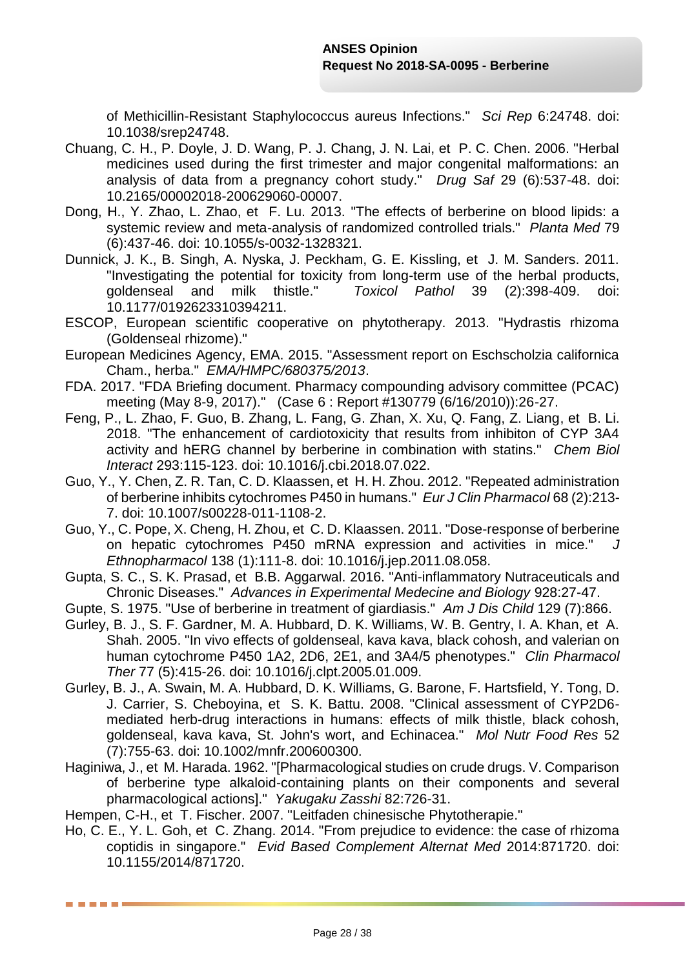of Methicillin-Resistant Staphylococcus aureus Infections." *Sci Rep* 6:24748. doi: 10.1038/srep24748.

- Chuang, C. H., P. Doyle, J. D. Wang, P. J. Chang, J. N. Lai, et P. C. Chen. 2006. "Herbal medicines used during the first trimester and major congenital malformations: an analysis of data from a pregnancy cohort study." *Drug Saf* 29 (6):537-48. doi: 10.2165/00002018-200629060-00007.
- Dong, H., Y. Zhao, L. Zhao, et F. Lu. 2013. "The effects of berberine on blood lipids: a systemic review and meta-analysis of randomized controlled trials." *Planta Med* 79 (6):437-46. doi: 10.1055/s-0032-1328321.
- Dunnick, J. K., B. Singh, A. Nyska, J. Peckham, G. E. Kissling, et J. M. Sanders. 2011. "Investigating the potential for toxicity from long-term use of the herbal products, goldenseal and milk thistle." *Toxicol Pathol* 39 (2):398-409. doi: 10.1177/0192623310394211.
- ESCOP, European scientific cooperative on phytotherapy. 2013. "Hydrastis rhizoma (Goldenseal rhizome)."
- European Medicines Agency, EMA. 2015. "Assessment report on Eschscholzia californica Cham., herba." *EMA/HMPC/680375/2013*.
- FDA. 2017. "FDA Briefing document. Pharmacy compounding advisory committee (PCAC) meeting (May 8-9, 2017)." (Case 6 : Report #130779 (6/16/2010)):26-27.
- Feng, P., L. Zhao, F. Guo, B. Zhang, L. Fang, G. Zhan, X. Xu, Q. Fang, Z. Liang, et B. Li. 2018. "The enhancement of cardiotoxicity that results from inhibiton of CYP 3A4 activity and hERG channel by berberine in combination with statins." *Chem Biol Interact* 293:115-123. doi: 10.1016/j.cbi.2018.07.022.
- Guo, Y., Y. Chen, Z. R. Tan, C. D. Klaassen, et H. H. Zhou. 2012. "Repeated administration of berberine inhibits cytochromes P450 in humans." *Eur J Clin Pharmacol* 68 (2):213- 7. doi: 10.1007/s00228-011-1108-2.
- Guo, Y., C. Pope, X. Cheng, H. Zhou, et C. D. Klaassen. 2011. "Dose-response of berberine on hepatic cytochromes P450 mRNA expression and activities in mice." *J Ethnopharmacol* 138 (1):111-8. doi: 10.1016/j.jep.2011.08.058.
- Gupta, S. C., S. K. Prasad, et B.B. Aggarwal. 2016. "Anti-inflammatory Nutraceuticals and Chronic Diseases." *Advances in Experimental Medecine and Biology* 928:27-47.
- Gupte, S. 1975. "Use of berberine in treatment of giardiasis." *Am J Dis Child* 129 (7):866.
- Gurley, B. J., S. F. Gardner, M. A. Hubbard, D. K. Williams, W. B. Gentry, I. A. Khan, et A. Shah. 2005. "In vivo effects of goldenseal, kava kava, black cohosh, and valerian on human cytochrome P450 1A2, 2D6, 2E1, and 3A4/5 phenotypes." *Clin Pharmacol Ther* 77 (5):415-26. doi: 10.1016/j.clpt.2005.01.009.
- Gurley, B. J., A. Swain, M. A. Hubbard, D. K. Williams, G. Barone, F. Hartsfield, Y. Tong, D. J. Carrier, S. Cheboyina, et S. K. Battu. 2008. "Clinical assessment of CYP2D6 mediated herb-drug interactions in humans: effects of milk thistle, black cohosh, goldenseal, kava kava, St. John's wort, and Echinacea." *Mol Nutr Food Res* 52 (7):755-63. doi: 10.1002/mnfr.200600300.
- Haginiwa, J., et M. Harada. 1962. "[Pharmacological studies on crude drugs. V. Comparison of berberine type alkaloid-containing plants on their components and several pharmacological actions]." *Yakugaku Zasshi* 82:726-31.

Hempen, C-H., et T. Fischer. 2007. "Leitfaden chinesische Phytotherapie."

. . .

Ho, C. E., Y. L. Goh, et C. Zhang. 2014. "From prejudice to evidence: the case of rhizoma coptidis in singapore." *Evid Based Complement Alternat Med* 2014:871720. doi: 10.1155/2014/871720.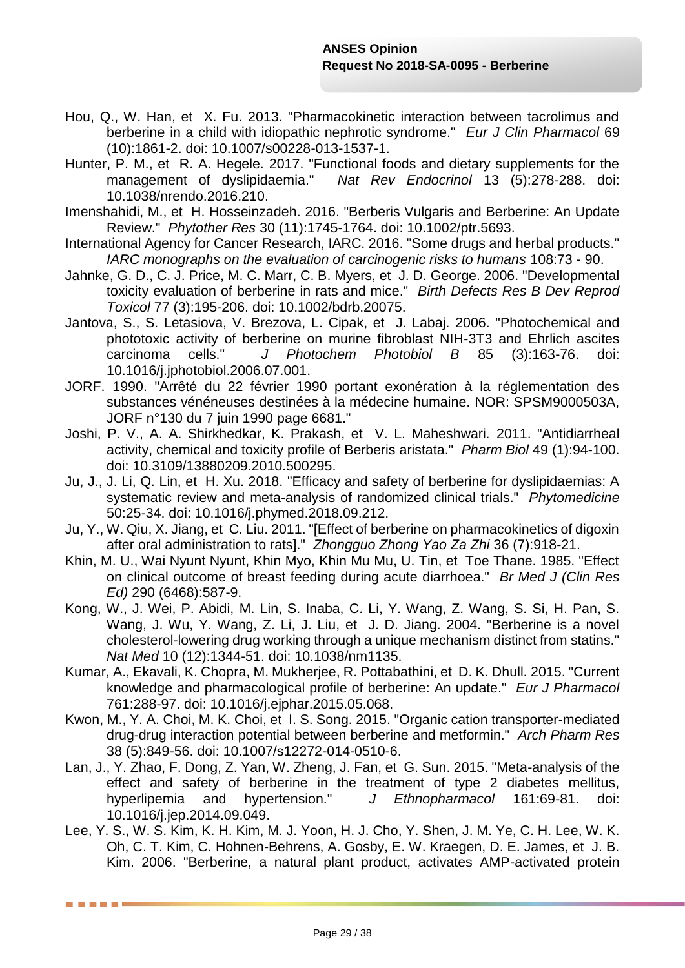- Hou, Q., W. Han, et X. Fu. 2013. "Pharmacokinetic interaction between tacrolimus and berberine in a child with idiopathic nephrotic syndrome." *Eur J Clin Pharmacol* 69 (10):1861-2. doi: 10.1007/s00228-013-1537-1.
- Hunter, P. M., et R. A. Hegele. 2017. "Functional foods and dietary supplements for the management of dyslipidaemia." *Nat Rev Endocrinol* 13 (5):278-288. doi: 10.1038/nrendo.2016.210.
- Imenshahidi, M., et H. Hosseinzadeh. 2016. "Berberis Vulgaris and Berberine: An Update Review." *Phytother Res* 30 (11):1745-1764. doi: 10.1002/ptr.5693.
- International Agency for Cancer Research, IARC. 2016. "Some drugs and herbal products." *IARC monographs on the evaluation of carcinogenic risks to humans* 108:73 - 90.
- Jahnke, G. D., C. J. Price, M. C. Marr, C. B. Myers, et J. D. George. 2006. "Developmental toxicity evaluation of berberine in rats and mice." *Birth Defects Res B Dev Reprod Toxicol* 77 (3):195-206. doi: 10.1002/bdrb.20075.
- Jantova, S., S. Letasiova, V. Brezova, L. Cipak, et J. Labaj. 2006. "Photochemical and phototoxic activity of berberine on murine fibroblast NIH-3T3 and Ehrlich ascites carcinoma cells." *J Photochem Photobiol B* 85 (3):163-76. doi: 10.1016/j.jphotobiol.2006.07.001.
- JORF. 1990. "Arrêté du 22 février 1990 portant exonération à la réglementation des substances vénéneuses destinées à la médecine humaine. NOR: SPSM9000503A, JORF n°130 du 7 juin 1990 page 6681."
- Joshi, P. V., A. A. Shirkhedkar, K. Prakash, et V. L. Maheshwari. 2011. "Antidiarrheal activity, chemical and toxicity profile of Berberis aristata." *Pharm Biol* 49 (1):94-100. doi: 10.3109/13880209.2010.500295.
- Ju, J., J. Li, Q. Lin, et H. Xu. 2018. "Efficacy and safety of berberine for dyslipidaemias: A systematic review and meta-analysis of randomized clinical trials." *Phytomedicine* 50:25-34. doi: 10.1016/j.phymed.2018.09.212.
- Ju, Y., W. Qiu, X. Jiang, et C. Liu. 2011. "[Effect of berberine on pharmacokinetics of digoxin after oral administration to rats]." *Zhongguo Zhong Yao Za Zhi* 36 (7):918-21.
- Khin, M. U., Wai Nyunt Nyunt, Khin Myo, Khin Mu Mu, U. Tin, et Toe Thane. 1985. "Effect on clinical outcome of breast feeding during acute diarrhoea." *Br Med J (Clin Res Ed)* 290 (6468):587-9.
- Kong, W., J. Wei, P. Abidi, M. Lin, S. Inaba, C. Li, Y. Wang, Z. Wang, S. Si, H. Pan, S. Wang, J. Wu, Y. Wang, Z. Li, J. Liu, et J. D. Jiang. 2004. "Berberine is a novel cholesterol-lowering drug working through a unique mechanism distinct from statins." *Nat Med* 10 (12):1344-51. doi: 10.1038/nm1135.
- Kumar, A., Ekavali, K. Chopra, M. Mukherjee, R. Pottabathini, et D. K. Dhull. 2015. "Current knowledge and pharmacological profile of berberine: An update." *Eur J Pharmacol* 761:288-97. doi: 10.1016/j.ejphar.2015.05.068.
- Kwon, M., Y. A. Choi, M. K. Choi, et I. S. Song. 2015. "Organic cation transporter-mediated drug-drug interaction potential between berberine and metformin." *Arch Pharm Res* 38 (5):849-56. doi: 10.1007/s12272-014-0510-6.
- Lan, J., Y. Zhao, F. Dong, Z. Yan, W. Zheng, J. Fan, et G. Sun. 2015. "Meta-analysis of the effect and safety of berberine in the treatment of type 2 diabetes mellitus, hyperlipemia and hypertension." *J Ethnopharmacol* 161:69-81. doi: 10.1016/j.jep.2014.09.049.
- Lee, Y. S., W. S. Kim, K. H. Kim, M. J. Yoon, H. J. Cho, Y. Shen, J. M. Ye, C. H. Lee, W. K. Oh, C. T. Kim, C. Hohnen-Behrens, A. Gosby, E. W. Kraegen, D. E. James, et J. B. Kim. 2006. "Berberine, a natural plant product, activates AMP-activated protein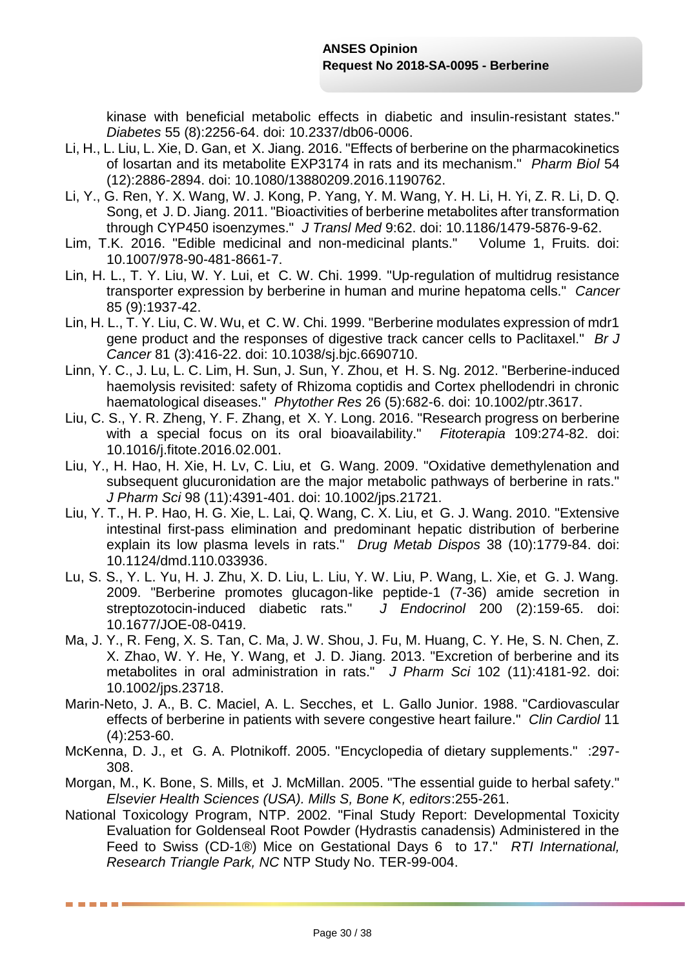kinase with beneficial metabolic effects in diabetic and insulin-resistant states." *Diabetes* 55 (8):2256-64. doi: 10.2337/db06-0006.

- Li, H., L. Liu, L. Xie, D. Gan, et X. Jiang. 2016. "Effects of berberine on the pharmacokinetics of losartan and its metabolite EXP3174 in rats and its mechanism." *Pharm Biol* 54 (12):2886-2894. doi: 10.1080/13880209.2016.1190762.
- Li, Y., G. Ren, Y. X. Wang, W. J. Kong, P. Yang, Y. M. Wang, Y. H. Li, H. Yi, Z. R. Li, D. Q. Song, et J. D. Jiang. 2011. "Bioactivities of berberine metabolites after transformation through CYP450 isoenzymes." *J Transl Med* 9:62. doi: 10.1186/1479-5876-9-62.
- Lim, T.K. 2016. "Edible medicinal and non-medicinal plants." Volume 1, Fruits. doi: 10.1007/978-90-481-8661-7.
- Lin, H. L., T. Y. Liu, W. Y. Lui, et C. W. Chi. 1999. "Up-regulation of multidrug resistance transporter expression by berberine in human and murine hepatoma cells." *Cancer* 85 (9):1937-42.
- Lin, H. L., T. Y. Liu, C. W. Wu, et C. W. Chi. 1999. "Berberine modulates expression of mdr1 gene product and the responses of digestive track cancer cells to Paclitaxel." *Br J Cancer* 81 (3):416-22. doi: 10.1038/sj.bjc.6690710.
- Linn, Y. C., J. Lu, L. C. Lim, H. Sun, J. Sun, Y. Zhou, et H. S. Ng. 2012. "Berberine-induced haemolysis revisited: safety of Rhizoma coptidis and Cortex phellodendri in chronic haematological diseases." *Phytother Res* 26 (5):682-6. doi: 10.1002/ptr.3617.
- Liu, C. S., Y. R. Zheng, Y. F. Zhang, et X. Y. Long. 2016. "Research progress on berberine with a special focus on its oral bioavailability." *Fitoterapia* 109:274-82. doi: 10.1016/j.fitote.2016.02.001.
- Liu, Y., H. Hao, H. Xie, H. Lv, C. Liu, et G. Wang. 2009. "Oxidative demethylenation and subsequent glucuronidation are the major metabolic pathways of berberine in rats." *J Pharm Sci* 98 (11):4391-401. doi: 10.1002/jps.21721.
- Liu, Y. T., H. P. Hao, H. G. Xie, L. Lai, Q. Wang, C. X. Liu, et G. J. Wang. 2010. "Extensive intestinal first-pass elimination and predominant hepatic distribution of berberine explain its low plasma levels in rats." *Drug Metab Dispos* 38 (10):1779-84. doi: 10.1124/dmd.110.033936.
- Lu, S. S., Y. L. Yu, H. J. Zhu, X. D. Liu, L. Liu, Y. W. Liu, P. Wang, L. Xie, et G. J. Wang. 2009. "Berberine promotes glucagon-like peptide-1 (7-36) amide secretion in streptozotocin-induced diabetic rats." *J Endocrinol* 200 (2):159-65. doi: 10.1677/JOE-08-0419.
- Ma, J. Y., R. Feng, X. S. Tan, C. Ma, J. W. Shou, J. Fu, M. Huang, C. Y. He, S. N. Chen, Z. X. Zhao, W. Y. He, Y. Wang, et J. D. Jiang. 2013. "Excretion of berberine and its metabolites in oral administration in rats." *J Pharm Sci* 102 (11):4181-92. doi: 10.1002/jps.23718.
- Marin-Neto, J. A., B. C. Maciel, A. L. Secches, et L. Gallo Junior. 1988. "Cardiovascular effects of berberine in patients with severe congestive heart failure." *Clin Cardiol* 11 (4):253-60.
- McKenna, D. J., et G. A. Plotnikoff. 2005. "Encyclopedia of dietary supplements." :297- 308.
- Morgan, M., K. Bone, S. Mills, et J. McMillan. 2005. "The essential guide to herbal safety." *Elsevier Health Sciences (USA). Mills S, Bone K, editors*:255-261.
- National Toxicology Program, NTP. 2002. "Final Study Report: Developmental Toxicity Evaluation for Goldenseal Root Powder (Hydrastis canadensis) Administered in the Feed to Swiss (CD-1®) Mice on Gestational Days 6 to 17." *RTI International, Research Triangle Park, NC* NTP Study No. TER-99-004.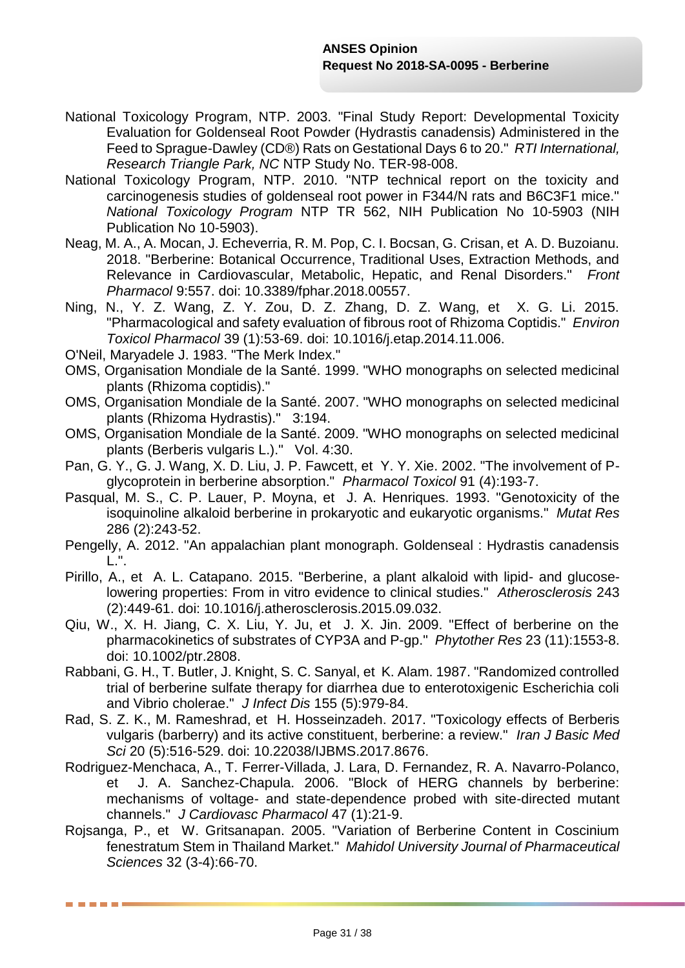- National Toxicology Program, NTP. 2003. "Final Study Report: Developmental Toxicity Evaluation for Goldenseal Root Powder (Hydrastis canadensis) Administered in the Feed to Sprague-Dawley (CD®) Rats on Gestational Days 6 to 20." *RTI International, Research Triangle Park, NC* NTP Study No. TER-98-008.
- National Toxicology Program, NTP. 2010. "NTP technical report on the toxicity and carcinogenesis studies of goldenseal root power in F344/N rats and B6C3F1 mice." *National Toxicology Program* NTP TR 562, NIH Publication No 10-5903 (NIH Publication No 10-5903).
- Neag, M. A., A. Mocan, J. Echeverria, R. M. Pop, C. I. Bocsan, G. Crisan, et A. D. Buzoianu. 2018. "Berberine: Botanical Occurrence, Traditional Uses, Extraction Methods, and Relevance in Cardiovascular, Metabolic, Hepatic, and Renal Disorders." *Front Pharmacol* 9:557. doi: 10.3389/fphar.2018.00557.
- Ning, N., Y. Z. Wang, Z. Y. Zou, D. Z. Zhang, D. Z. Wang, et X. G. Li. 2015. "Pharmacological and safety evaluation of fibrous root of Rhizoma Coptidis." *Environ Toxicol Pharmacol* 39 (1):53-69. doi: 10.1016/j.etap.2014.11.006.
- O'Neil, Maryadele J. 1983. "The Merk Index."
- OMS, Organisation Mondiale de la Santé. 1999. "WHO monographs on selected medicinal plants (Rhizoma coptidis)."
- OMS, Organisation Mondiale de la Santé. 2007. "WHO monographs on selected medicinal plants (Rhizoma Hydrastis)." 3:194.
- OMS, Organisation Mondiale de la Santé. 2009. "WHO monographs on selected medicinal plants (Berberis vulgaris L.)." Vol. 4:30.
- Pan, G. Y., G. J. Wang, X. D. Liu, J. P. Fawcett, et Y. Y. Xie. 2002. "The involvement of Pglycoprotein in berberine absorption." *Pharmacol Toxicol* 91 (4):193-7.
- Pasqual, M. S., C. P. Lauer, P. Moyna, et J. A. Henriques. 1993. "Genotoxicity of the isoquinoline alkaloid berberine in prokaryotic and eukaryotic organisms." *Mutat Res* 286 (2):243-52.
- Pengelly, A. 2012. "An appalachian plant monograph. Goldenseal : Hydrastis canadensis L.".
- Pirillo, A., et A. L. Catapano. 2015. "Berberine, a plant alkaloid with lipid- and glucoselowering properties: From in vitro evidence to clinical studies." *Atherosclerosis* 243 (2):449-61. doi: 10.1016/j.atherosclerosis.2015.09.032.
- Qiu, W., X. H. Jiang, C. X. Liu, Y. Ju, et J. X. Jin. 2009. "Effect of berberine on the pharmacokinetics of substrates of CYP3A and P-gp." *Phytother Res* 23 (11):1553-8. doi: 10.1002/ptr.2808.
- Rabbani, G. H., T. Butler, J. Knight, S. C. Sanyal, et K. Alam. 1987. "Randomized controlled trial of berberine sulfate therapy for diarrhea due to enterotoxigenic Escherichia coli and Vibrio cholerae." *J Infect Dis* 155 (5):979-84.
- Rad, S. Z. K., M. Rameshrad, et H. Hosseinzadeh. 2017. "Toxicology effects of Berberis vulgaris (barberry) and its active constituent, berberine: a review." *Iran J Basic Med Sci* 20 (5):516-529. doi: 10.22038/IJBMS.2017.8676.
- Rodriguez-Menchaca, A., T. Ferrer-Villada, J. Lara, D. Fernandez, R. A. Navarro-Polanco, et J. A. Sanchez-Chapula. 2006. "Block of HERG channels by berberine: mechanisms of voltage- and state-dependence probed with site-directed mutant channels." *J Cardiovasc Pharmacol* 47 (1):21-9.
- Rojsanga, P., et W. Gritsanapan. 2005. "Variation of Berberine Content in Coscinium fenestratum Stem in Thailand Market." *Mahidol University Journal of Pharmaceutical Sciences* 32 (3-4):66-70.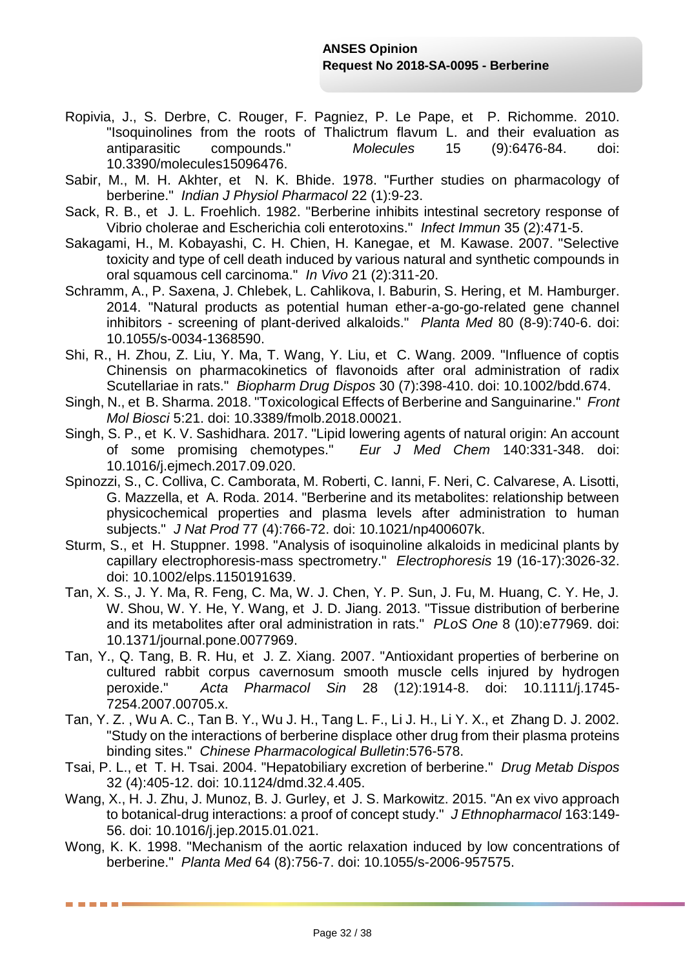- Ropivia, J., S. Derbre, C. Rouger, F. Pagniez, P. Le Pape, et P. Richomme. 2010. "Isoquinolines from the roots of Thalictrum flavum L. and their evaluation as antiparasitic compounds." *Molecules* 15 (9):6476-84. doi: 10.3390/molecules15096476.
- Sabir, M., M. H. Akhter, et N. K. Bhide. 1978. "Further studies on pharmacology of berberine." *Indian J Physiol Pharmacol* 22 (1):9-23.
- Sack, R. B., et J. L. Froehlich. 1982. "Berberine inhibits intestinal secretory response of Vibrio cholerae and Escherichia coli enterotoxins." *Infect Immun* 35 (2):471-5.
- Sakagami, H., M. Kobayashi, C. H. Chien, H. Kanegae, et M. Kawase. 2007. "Selective toxicity and type of cell death induced by various natural and synthetic compounds in oral squamous cell carcinoma." *In Vivo* 21 (2):311-20.
- Schramm, A., P. Saxena, J. Chlebek, L. Cahlikova, I. Baburin, S. Hering, et M. Hamburger. 2014. "Natural products as potential human ether-a-go-go-related gene channel inhibitors - screening of plant-derived alkaloids." *Planta Med* 80 (8-9):740-6. doi: 10.1055/s-0034-1368590.
- Shi, R., H. Zhou, Z. Liu, Y. Ma, T. Wang, Y. Liu, et C. Wang. 2009. "Influence of coptis Chinensis on pharmacokinetics of flavonoids after oral administration of radix Scutellariae in rats." *Biopharm Drug Dispos* 30 (7):398-410. doi: 10.1002/bdd.674.
- Singh, N., et B. Sharma. 2018. "Toxicological Effects of Berberine and Sanguinarine." *Front Mol Biosci* 5:21. doi: 10.3389/fmolb.2018.00021.
- Singh, S. P., et K. V. Sashidhara. 2017. "Lipid lowering agents of natural origin: An account of some promising chemotypes." Eur J Med Chem 140:331-348. doi: of some promising chemotypes." *Eur J Med Chem* 140:331-348. doi: 10.1016/j.ejmech.2017.09.020.
- Spinozzi, S., C. Colliva, C. Camborata, M. Roberti, C. Ianni, F. Neri, C. Calvarese, A. Lisotti, G. Mazzella, et A. Roda. 2014. "Berberine and its metabolites: relationship between physicochemical properties and plasma levels after administration to human subjects." *J Nat Prod* 77 (4):766-72. doi: 10.1021/np400607k.
- Sturm, S., et H. Stuppner. 1998. "Analysis of isoquinoline alkaloids in medicinal plants by capillary electrophoresis-mass spectrometry." *Electrophoresis* 19 (16-17):3026-32. doi: 10.1002/elps.1150191639.
- Tan, X. S., J. Y. Ma, R. Feng, C. Ma, W. J. Chen, Y. P. Sun, J. Fu, M. Huang, C. Y. He, J. W. Shou, W. Y. He, Y. Wang, et J. D. Jiang. 2013. "Tissue distribution of berberine and its metabolites after oral administration in rats." *PLoS One* 8 (10):e77969. doi: 10.1371/journal.pone.0077969.
- Tan, Y., Q. Tang, B. R. Hu, et J. Z. Xiang. 2007. "Antioxidant properties of berberine on cultured rabbit corpus cavernosum smooth muscle cells injured by hydrogen peroxide." *Acta Pharmacol Sin* 28 (12):1914-8. doi: 10.1111/j.1745- 7254.2007.00705.x.
- Tan, Y. Z. , Wu A. C., Tan B. Y., Wu J. H., Tang L. F., Li J. H., Li Y. X., et Zhang D. J. 2002. "Study on the interactions of berberine displace other drug from their plasma proteins binding sites." *Chinese Pharmacological Bulletin*:576-578.
- Tsai, P. L., et T. H. Tsai. 2004. "Hepatobiliary excretion of berberine." *Drug Metab Dispos* 32 (4):405-12. doi: 10.1124/dmd.32.4.405.
- Wang, X., H. J. Zhu, J. Munoz, B. J. Gurley, et J. S. Markowitz. 2015. "An ex vivo approach to botanical-drug interactions: a proof of concept study." *J Ethnopharmacol* 163:149- 56. doi: 10.1016/j.jep.2015.01.021.
- Wong, K. K. 1998. "Mechanism of the aortic relaxation induced by low concentrations of berberine." *Planta Med* 64 (8):756-7. doi: 10.1055/s-2006-957575.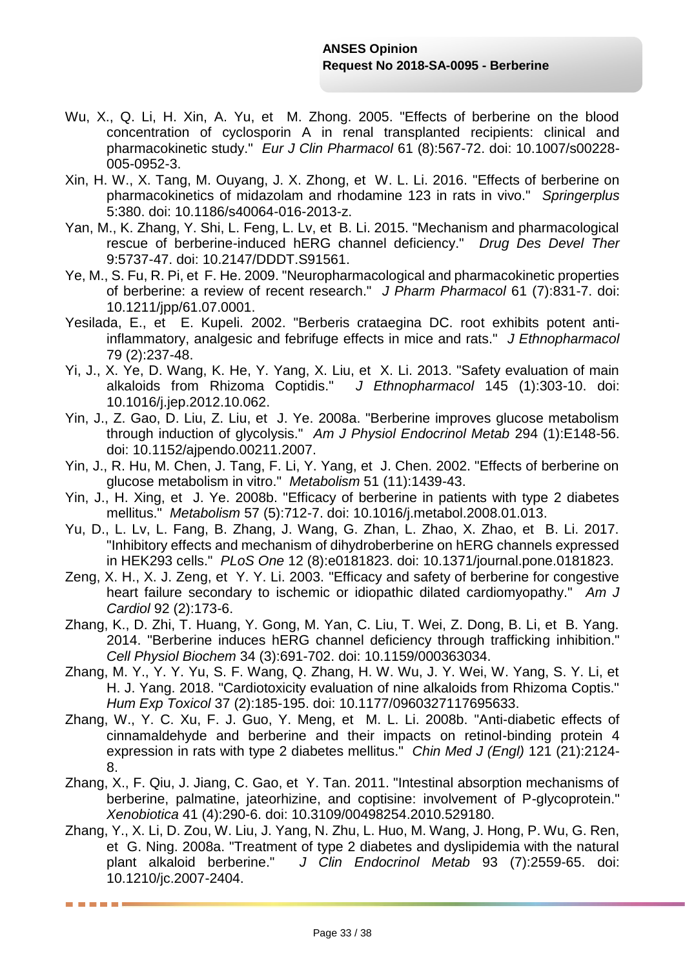- Wu, X., Q. Li, H. Xin, A. Yu, et M. Zhong. 2005. "Effects of berberine on the blood concentration of cyclosporin A in renal transplanted recipients: clinical and pharmacokinetic study." *Eur J Clin Pharmacol* 61 (8):567-72. doi: 10.1007/s00228- 005-0952-3.
- Xin, H. W., X. Tang, M. Ouyang, J. X. Zhong, et W. L. Li. 2016. "Effects of berberine on pharmacokinetics of midazolam and rhodamine 123 in rats in vivo." *Springerplus* 5:380. doi: 10.1186/s40064-016-2013-z.
- Yan, M., K. Zhang, Y. Shi, L. Feng, L. Lv, et B. Li. 2015. "Mechanism and pharmacological rescue of berberine-induced hERG channel deficiency." *Drug Des Devel Ther* 9:5737-47. doi: 10.2147/DDDT.S91561.
- Ye, M., S. Fu, R. Pi, et F. He. 2009. "Neuropharmacological and pharmacokinetic properties of berberine: a review of recent research." *J Pharm Pharmacol* 61 (7):831-7. doi: 10.1211/jpp/61.07.0001.
- Yesilada, E., et E. Kupeli. 2002. "Berberis crataegina DC. root exhibits potent antiinflammatory, analgesic and febrifuge effects in mice and rats." *J Ethnopharmacol* 79 (2):237-48.
- Yi, J., X. Ye, D. Wang, K. He, Y. Yang, X. Liu, et X. Li. 2013. "Safety evaluation of main alkaloids from Rhizoma Coptidis." *J Ethnopharmacol* 145 (1):303-10. doi: 10.1016/j.jep.2012.10.062.
- Yin, J., Z. Gao, D. Liu, Z. Liu, et J. Ye. 2008a. "Berberine improves glucose metabolism through induction of glycolysis." *Am J Physiol Endocrinol Metab* 294 (1):E148-56. doi: 10.1152/ajpendo.00211.2007.
- Yin, J., R. Hu, M. Chen, J. Tang, F. Li, Y. Yang, et J. Chen. 2002. "Effects of berberine on glucose metabolism in vitro." *Metabolism* 51 (11):1439-43.
- Yin, J., H. Xing, et J. Ye. 2008b. "Efficacy of berberine in patients with type 2 diabetes mellitus." *Metabolism* 57 (5):712-7. doi: 10.1016/j.metabol.2008.01.013.
- Yu, D., L. Lv, L. Fang, B. Zhang, J. Wang, G. Zhan, L. Zhao, X. Zhao, et B. Li. 2017. "Inhibitory effects and mechanism of dihydroberberine on hERG channels expressed in HEK293 cells." *PLoS One* 12 (8):e0181823. doi: 10.1371/journal.pone.0181823.
- Zeng, X. H., X. J. Zeng, et Y. Y. Li. 2003. "Efficacy and safety of berberine for congestive heart failure secondary to ischemic or idiopathic dilated cardiomyopathy." *Am J Cardiol* 92 (2):173-6.
- Zhang, K., D. Zhi, T. Huang, Y. Gong, M. Yan, C. Liu, T. Wei, Z. Dong, B. Li, et B. Yang. 2014. "Berberine induces hERG channel deficiency through trafficking inhibition." *Cell Physiol Biochem* 34 (3):691-702. doi: 10.1159/000363034.
- Zhang, M. Y., Y. Y. Yu, S. F. Wang, Q. Zhang, H. W. Wu, J. Y. Wei, W. Yang, S. Y. Li, et H. J. Yang. 2018. "Cardiotoxicity evaluation of nine alkaloids from Rhizoma Coptis." *Hum Exp Toxicol* 37 (2):185-195. doi: 10.1177/0960327117695633.
- Zhang, W., Y. C. Xu, F. J. Guo, Y. Meng, et M. L. Li. 2008b. "Anti-diabetic effects of cinnamaldehyde and berberine and their impacts on retinol-binding protein 4 expression in rats with type 2 diabetes mellitus." *Chin Med J (Engl)* 121 (21):2124- 8.
- Zhang, X., F. Qiu, J. Jiang, C. Gao, et Y. Tan. 2011. "Intestinal absorption mechanisms of berberine, palmatine, jateorhizine, and coptisine; involvement of P-glycoprotein." *Xenobiotica* 41 (4):290-6. doi: 10.3109/00498254.2010.529180.
- Zhang, Y., X. Li, D. Zou, W. Liu, J. Yang, N. Zhu, L. Huo, M. Wang, J. Hong, P. Wu, G. Ren, et G. Ning. 2008a. "Treatment of type 2 diabetes and dyslipidemia with the natural plant alkaloid berberine." *J Clin Endocrinol Metab* 93 (7):2559-65. doi: 10.1210/jc.2007-2404.

-----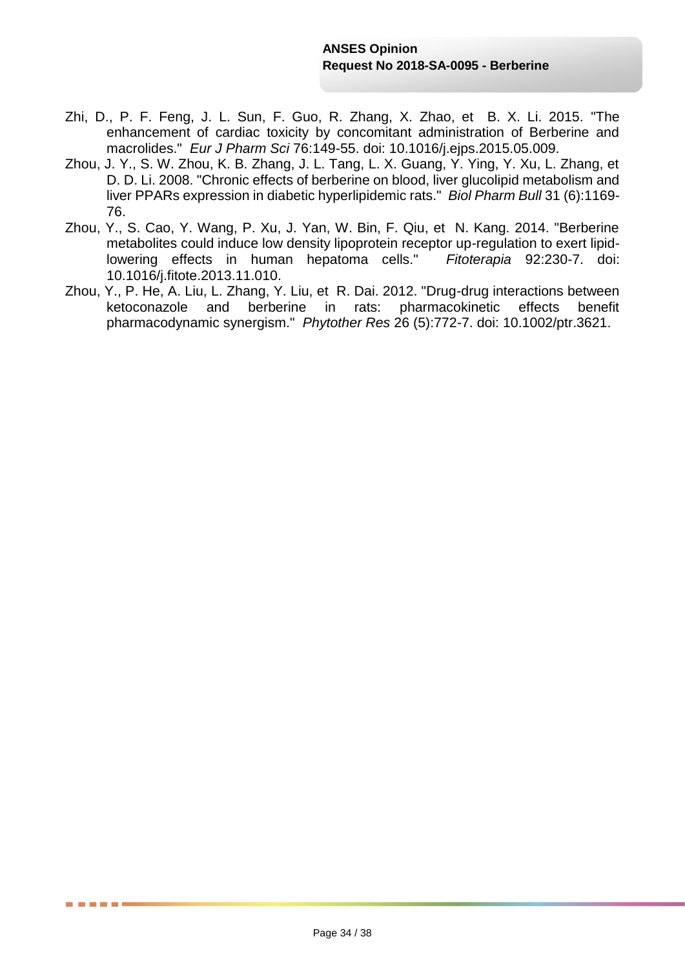- Zhi, D., P. F. Feng, J. L. Sun, F. Guo, R. Zhang, X. Zhao, et B. X. Li. 2015. "The enhancement of cardiac toxicity by concomitant administration of Berberine and macrolides." *Eur J Pharm Sci* 76:149-55. doi: 10.1016/j.ejps.2015.05.009.
- Zhou, J. Y., S. W. Zhou, K. B. Zhang, J. L. Tang, L. X. Guang, Y. Ying, Y. Xu, L. Zhang, et D. D. Li. 2008. "Chronic effects of berberine on blood, liver glucolipid metabolism and liver PPARs expression in diabetic hyperlipidemic rats." *Biol Pharm Bull* 31 (6):1169- 76.
- Zhou, Y., S. Cao, Y. Wang, P. Xu, J. Yan, W. Bin, F. Qiu, et N. Kang. 2014. "Berberine metabolites could induce low density lipoprotein receptor up-regulation to exert lipidlowering effects in human hepatoma cells." *Fitoterapia* 92:230-7. doi: 10.1016/j.fitote.2013.11.010.
- Zhou, Y., P. He, A. Liu, L. Zhang, Y. Liu, et R. Dai. 2012. "Drug-drug interactions between ketoconazole and berberine in rats: pharmacokinetic effects benefit pharmacodynamic synergism." *Phytother Res* 26 (5):772-7. doi: 10.1002/ptr.3621.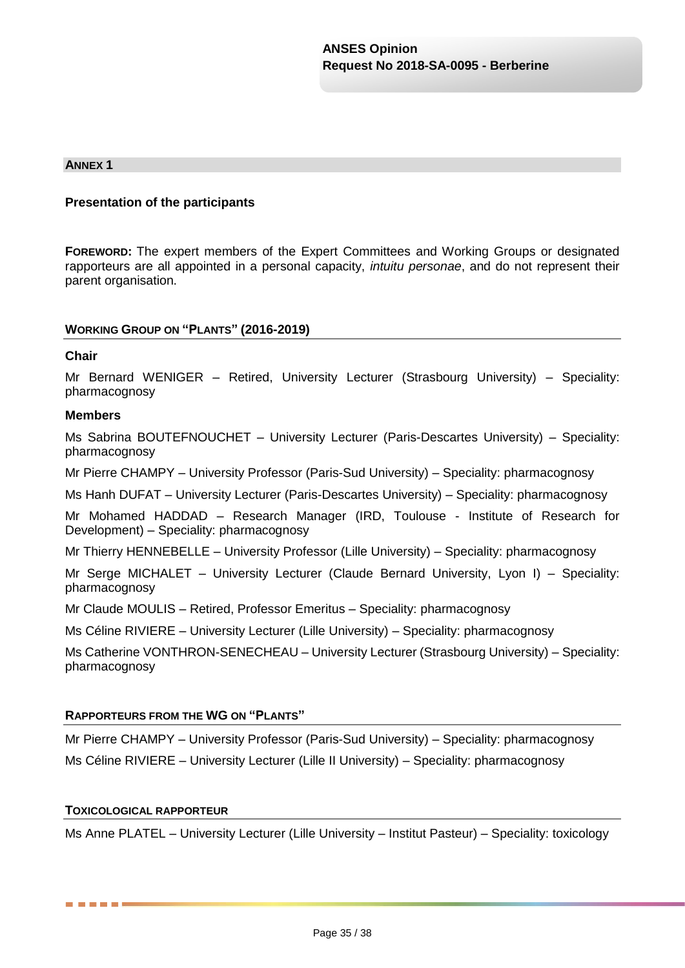#### **ANNEX 1**

#### **Presentation of the participants**

**FOREWORD:** The expert members of the Expert Committees and Working Groups or designated rapporteurs are all appointed in a personal capacity, *intuitu personae*, and do not represent their parent organisation.

#### **WORKING GROUP ON "PLANTS" (2016-2019)**

#### **Chair**

Mr Bernard WENIGER – Retired, University Lecturer (Strasbourg University) – Speciality: pharmacognosy

#### **Members**

Ms Sabrina BOUTEFNOUCHET – University Lecturer (Paris-Descartes University) – Speciality: pharmacognosy

Mr Pierre CHAMPY – University Professor (Paris-Sud University) – Speciality: pharmacognosy

Ms Hanh DUFAT – University Lecturer (Paris-Descartes University) – Speciality: pharmacognosy

Mr Mohamed HADDAD – Research Manager (IRD, Toulouse - Institute of Research for Development) – Speciality: pharmacognosy

Mr Thierry HENNEBELLE – University Professor (Lille University) – Speciality: pharmacognosy

Mr Serge MICHALET – University Lecturer (Claude Bernard University, Lyon I) – Speciality: pharmacognosy

Mr Claude MOULIS – Retired, Professor Emeritus – Speciality: pharmacognosy

Ms Céline RIVIERE – University Lecturer (Lille University) – Speciality: pharmacognosy

Ms Catherine VONTHRON-SENECHEAU – University Lecturer (Strasbourg University) – Speciality: pharmacognosy

#### **RAPPORTEURS FROM THE WG ON "PLANTS"**

Mr Pierre CHAMPY – University Professor (Paris-Sud University) – Speciality: pharmacognosy Ms Céline RIVIERE – University Lecturer (Lille II University) – Speciality: pharmacognosy

#### **TOXICOLOGICAL RAPPORTEUR**

. . .

Ms Anne PLATEL – University Lecturer (Lille University – Institut Pasteur) – Speciality: toxicology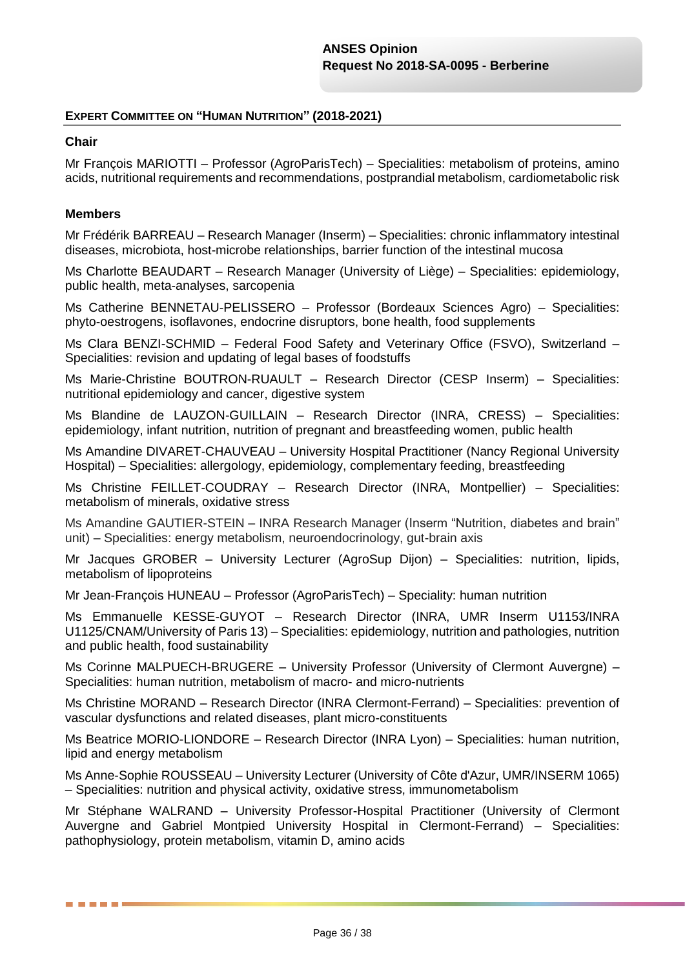### **EXPERT COMMITTEE ON "HUMAN NUTRITION" (2018-2021)**

#### **Chair**

Mr François MARIOTTI – Professor (AgroParisTech) – Specialities: metabolism of proteins, amino acids, nutritional requirements and recommendations, postprandial metabolism, cardiometabolic risk

#### **Members**

------

Mr Frédérik BARREAU – Research Manager (Inserm) – Specialities: chronic inflammatory intestinal diseases, microbiota, host-microbe relationships, barrier function of the intestinal mucosa

Ms Charlotte BEAUDART – Research Manager (University of Liège) – Specialities: epidemiology, public health, meta-analyses, sarcopenia

Ms Catherine BENNETAU-PELISSERO – Professor (Bordeaux Sciences Agro) – Specialities: phyto-oestrogens, isoflavones, endocrine disruptors, bone health, food supplements

Ms Clara BENZI-SCHMID – Federal Food Safety and Veterinary Office (FSVO), Switzerland – Specialities: revision and updating of legal bases of foodstuffs

Ms Marie-Christine BOUTRON-RUAULT – Research Director (CESP Inserm) – Specialities: nutritional epidemiology and cancer, digestive system

Ms Blandine de LAUZON-GUILLAIN – Research Director (INRA, CRESS) – Specialities: epidemiology, infant nutrition, nutrition of pregnant and breastfeeding women, public health

Ms Amandine DIVARET-CHAUVEAU – University Hospital Practitioner (Nancy Regional University Hospital) – Specialities: allergology, epidemiology, complementary feeding, breastfeeding

Ms Christine FEILLET-COUDRAY – Research Director (INRA, Montpellier) – Specialities: metabolism of minerals, oxidative stress

Ms Amandine GAUTIER-STEIN – INRA Research Manager (Inserm "Nutrition, diabetes and brain" unit) – Specialities: energy metabolism, neuroendocrinology, gut-brain axis

Mr Jacques GROBER – University Lecturer (AgroSup Dijon) – Specialities: nutrition, lipids, metabolism of lipoproteins

Mr Jean-François HUNEAU – Professor (AgroParisTech) – Speciality: human nutrition

Ms Emmanuelle KESSE-GUYOT – Research Director (INRA, UMR Inserm U1153/INRA U1125/CNAM/University of Paris 13) – Specialities: epidemiology, nutrition and pathologies, nutrition and public health, food sustainability

Ms Corinne MALPUECH-BRUGERE – University Professor (University of Clermont Auvergne) – Specialities: human nutrition, metabolism of macro- and micro-nutrients

Ms Christine MORAND – Research Director (INRA Clermont-Ferrand) – Specialities: prevention of vascular dysfunctions and related diseases, plant micro-constituents

Ms Beatrice MORIO-LIONDORE – Research Director (INRA Lyon) – Specialities: human nutrition, lipid and energy metabolism

Ms Anne-Sophie ROUSSEAU – University Lecturer (University of Côte d'Azur, UMR/INSERM 1065) – Specialities: nutrition and physical activity, oxidative stress, immunometabolism

Mr Stéphane WALRAND – University Professor-Hospital Practitioner (University of Clermont Auvergne and Gabriel Montpied University Hospital in Clermont-Ferrand) – Specialities: pathophysiology, protein metabolism, vitamin D, amino acids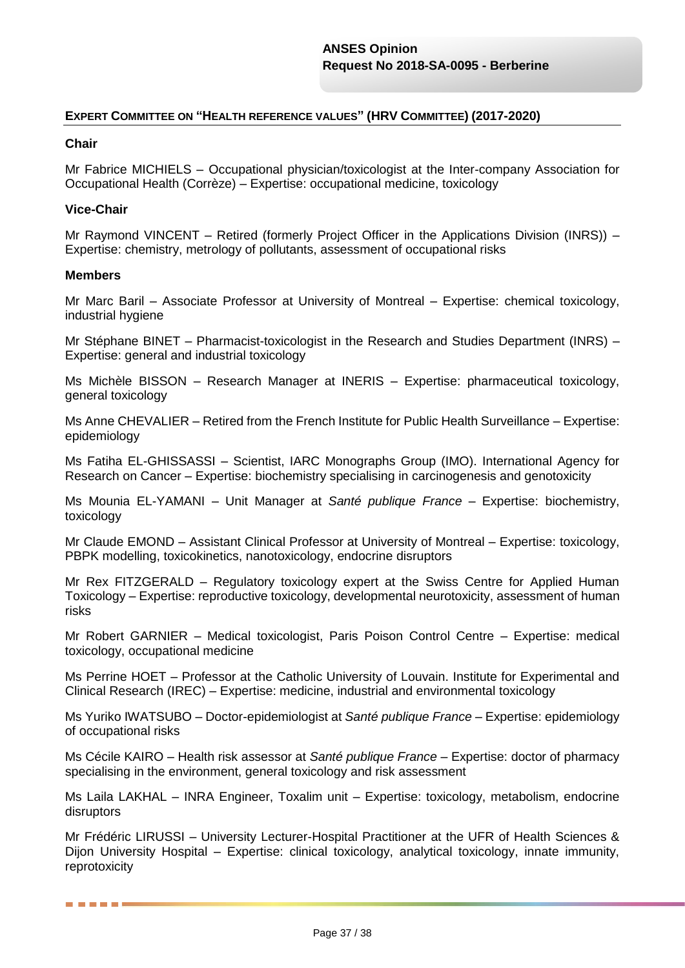#### **EXPERT COMMITTEE ON "HEALTH REFERENCE VALUES" (HRV COMMITTEE) (2017-2020)**

#### **Chair**

Mr Fabrice MICHIELS – Occupational physician/toxicologist at the Inter-company Association for Occupational Health (Corrèze) – Expertise: occupational medicine, toxicology

#### **Vice-Chair**

Mr Raymond VINCENT – Retired (formerly Project Officer in the Applications Division (INRS)) – Expertise: chemistry, metrology of pollutants, assessment of occupational risks

#### **Members**

------

Mr Marc Baril – Associate Professor at University of Montreal – Expertise: chemical toxicology, industrial hygiene

Mr Stéphane BINET – Pharmacist-toxicologist in the Research and Studies Department (INRS) – Expertise: general and industrial toxicology

Ms Michèle BISSON – Research Manager at INERIS – Expertise: pharmaceutical toxicology, general toxicology

Ms Anne CHEVALIER – Retired from the French Institute for Public Health Surveillance – Expertise: epidemiology

Ms Fatiha EL-GHISSASSI – Scientist, IARC Monographs Group (IMO). International Agency for Research on Cancer – Expertise: biochemistry specialising in carcinogenesis and genotoxicity

Ms Mounia EL-YAMANI – Unit Manager at *Santé publique France* – Expertise: biochemistry, toxicology

Mr Claude EMOND – Assistant Clinical Professor at University of Montreal – Expertise: toxicology, PBPK modelling, toxicokinetics, nanotoxicology, endocrine disruptors

Mr Rex FITZGERALD – Regulatory toxicology expert at the Swiss Centre for Applied Human Toxicology – Expertise: reproductive toxicology, developmental neurotoxicity, assessment of human risks

Mr Robert GARNIER – Medical toxicologist, Paris Poison Control Centre – Expertise: medical toxicology, occupational medicine

Ms Perrine HOET – Professor at the Catholic University of Louvain. Institute for Experimental and Clinical Research (IREC) – Expertise: medicine, industrial and environmental toxicology

Ms Yuriko IWATSUBO – Doctor-epidemiologist at *Santé publique France* – Expertise: epidemiology of occupational risks

Ms Cécile KAIRO – Health risk assessor at *Santé publique France* – Expertise: doctor of pharmacy specialising in the environment, general toxicology and risk assessment

Ms Laila LAKHAL – INRA Engineer, Toxalim unit – Expertise: toxicology, metabolism, endocrine disruptors

Mr Frédéric LIRUSSI – University Lecturer-Hospital Practitioner at the UFR of Health Sciences & Dijon University Hospital – Expertise: clinical toxicology, analytical toxicology, innate immunity, reprotoxicity